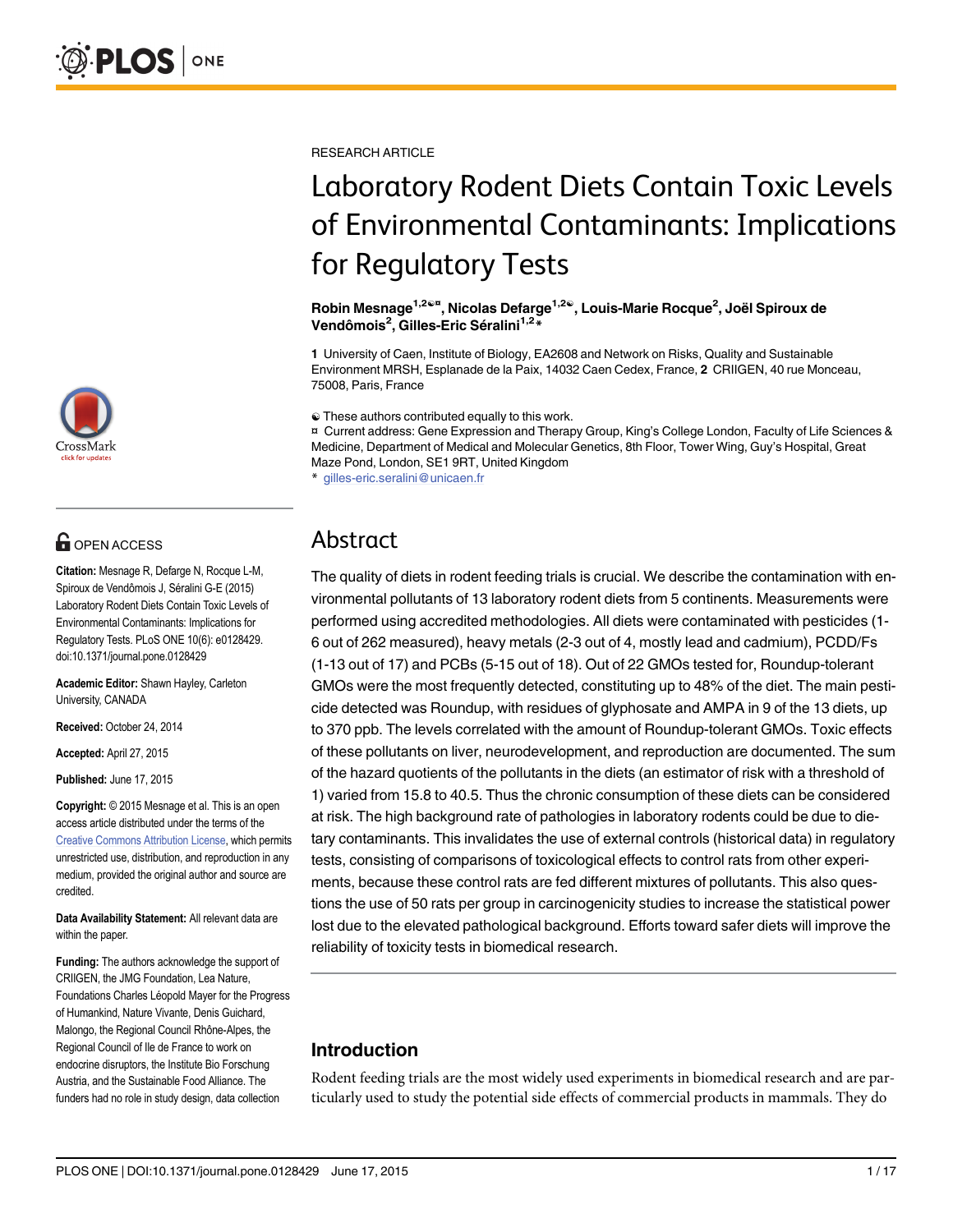

# **OPEN ACCESS**

Citation: Mesnage R, Defarge N, Rocque L-M, Spiroux de Vendômois J, Séralini G-E (2015) Laboratory Rodent Diets Contain Toxic Levels of Environmental Contaminants: Implications for Regulatory Tests. PLoS ONE 10(6): e0128429. doi:10.1371/journal.pone.0128429

Academic Editor: Shawn Hayley, Carleton University, CANADA

Received: October 24, 2014

Accepted: April 27, 2015

Published: June 17, 2015

Copyright: © 2015 Mesnage et al. This is an open access article distributed under the terms of the [Creative Commons Attribution License,](http://creativecommons.org/licenses/by/4.0/) which permits unrestricted use, distribution, and reproduction in any medium, provided the original author and source are credited.

Data Availability Statement: All relevant data are within the paper.

Funding: The authors acknowledge the support of CRIIGEN, the JMG Foundation, Lea Nature, Foundations Charles Léopold Mayer for the Progress of Humankind, Nature Vivante, Denis Guichard, Malongo, the Regional Council Rhône-Alpes, the Regional Council of Ile de France to work on endocrine disruptors, the Institute Bio Forschung Austria, and the Sustainable Food Alliance. The funders had no role in study design, data collection

RESEARCH ARTICLE

# Laboratory Rodent Diets Contain Toxic Levels of Environmental Contaminants: Implications for Regulatory Tests

Robin Mesnage<sup>1,2©¤</sup>, Nicolas Defarge<sup>1,2©</sup>, Louis-Marie Rocque<sup>2</sup>, Joël Spiroux de Vendômois<sup>2</sup>, Gilles-Eric Séralini<sup>1,2\*</sup>

1 University of Caen, Institute of Biology, EA2608 and Network on Risks, Quality and Sustainable Environment MRSH, Esplanade de la Paix, 14032 Caen Cedex, France, 2 CRIIGEN, 40 rue Monceau, 75008, Paris, France

 $\odot$  These authors contributed equally to this work.

¤ Current address: Gene Expression and Therapy Group, King's College London, Faculty of Life Sciences & Medicine, Department of Medical and Molecular Genetics, 8th Floor, Tower Wing, Guy's Hospital, Great Maze Pond, London, SE1 9RT, United Kingdom

\* gilles-eric.seralini@unicaen.fr

## Abstract

The quality of diets in rodent feeding trials is crucial. We describe the contamination with environmental pollutants of 13 laboratory rodent diets from 5 continents. Measurements were performed using accredited methodologies. All diets were contaminated with pesticides (1- 6 out of 262 measured), heavy metals (2-3 out of 4, mostly lead and cadmium), PCDD/Fs (1-13 out of 17) and PCBs (5-15 out of 18). Out of 22 GMOs tested for, Roundup-tolerant GMOs were the most frequently detected, constituting up to 48% of the diet. The main pesticide detected was Roundup, with residues of glyphosate and AMPA in 9 of the 13 diets, up to 370 ppb. The levels correlated with the amount of Roundup-tolerant GMOs. Toxic effects of these pollutants on liver, neurodevelopment, and reproduction are documented. The sum of the hazard quotients of the pollutants in the diets (an estimator of risk with a threshold of 1) varied from 15.8 to 40.5. Thus the chronic consumption of these diets can be considered at risk. The high background rate of pathologies in laboratory rodents could be due to dietary contaminants. This invalidates the use of external controls (historical data) in regulatory tests, consisting of comparisons of toxicological effects to control rats from other experiments, because these control rats are fed different mixtures of pollutants. This also questions the use of 50 rats per group in carcinogenicity studies to increase the statistical power lost due to the elevated pathological background. Efforts toward safer diets will improve the reliability of toxicity tests in biomedical research.

## Introduction

Rodent feeding trials are the most widely used experiments in biomedical research and are particularly used to study the potential side effects of commercial products in mammals. They do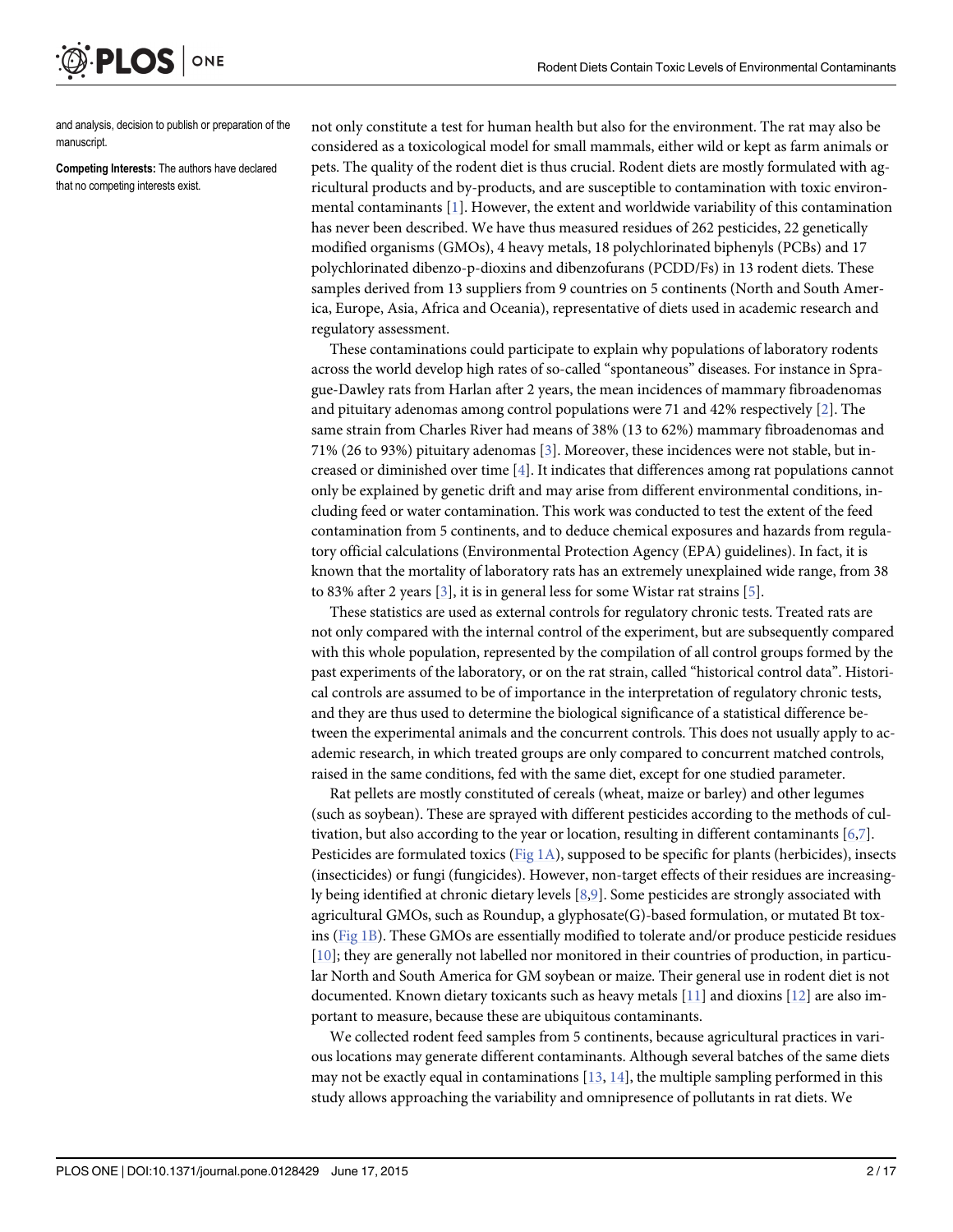and analysis, decision to publish or preparation of the manuscript.

ONE

<span id="page-1-0"></span>**PLOS** I

Competing Interests: The authors have declared that no competing interests exist.

not only constitute a test for human health but also for the environment. The rat may also be considered as a toxicological model for small mammals, either wild or kept as farm animals or pets. The quality of the rodent diet is thus crucial. Rodent diets are mostly formulated with agricultural products and by-products, and are susceptible to contamination with toxic environmental contaminants [\[1\]](#page-13-0). However, the extent and worldwide variability of this contamination has never been described. We have thus measured residues of 262 pesticides, 22 genetically modified organisms (GMOs), 4 heavy metals, 18 polychlorinated biphenyls (PCBs) and 17 polychlorinated dibenzo-p-dioxins and dibenzofurans (PCDD/Fs) in 13 rodent diets. These samples derived from 13 suppliers from 9 countries on 5 continents (North and South America, Europe, Asia, Africa and Oceania), representative of diets used in academic research and regulatory assessment.

These contaminations could participate to explain why populations of laboratory rodents across the world develop high rates of so-called "spontaneous" diseases. For instance in Sprague-Dawley rats from Harlan after 2 years, the mean incidences of mammary fibroadenomas and pituitary adenomas among control populations were 71 and 42% respectively  $[2]$  $[2]$ . The same strain from Charles River had means of 38% (13 to 62%) mammary fibroadenomas and 71% (26 to 93%) pituitary adenomas [[3\]](#page-13-0). Moreover, these incidences were not stable, but increased or diminished over time  $[4]$  $[4]$ . It indicates that differences among rat populations cannot only be explained by genetic drift and may arise from different environmental conditions, including feed or water contamination. This work was conducted to test the extent of the feed contamination from 5 continents, and to deduce chemical exposures and hazards from regulatory official calculations (Environmental Protection Agency (EPA) guidelines). In fact, it is known that the mortality of laboratory rats has an extremely unexplained wide range, from 38 to 83% after 2 years  $[3]$  $[3]$ , it is in general less for some Wistar rat strains  $[5]$  $[5]$ .

These statistics are used as external controls for regulatory chronic tests. Treated rats are not only compared with the internal control of the experiment, but are subsequently compared with this whole population, represented by the compilation of all control groups formed by the past experiments of the laboratory, or on the rat strain, called "historical control data". Historical controls are assumed to be of importance in the interpretation of regulatory chronic tests, and they are thus used to determine the biological significance of a statistical difference between the experimental animals and the concurrent controls. This does not usually apply to academic research, in which treated groups are only compared to concurrent matched controls, raised in the same conditions, fed with the same diet, except for one studied parameter.

Rat pellets are mostly constituted of cereals (wheat, maize or barley) and other legumes (such as soybean). These are sprayed with different pesticides according to the methods of cultivation, but also according to the year or location, resulting in different contaminants  $[6,7]$  $[6,7]$  $[6,7]$ . Pesticides are formulated toxics ([Fig 1A\)](#page-2-0), supposed to be specific for plants (herbicides), insects (insecticides) or fungi (fungicides). However, non-target effects of their residues are increasingly being identified at chronic dietary levels [[8](#page-13-0),[9](#page-13-0)]. Some pesticides are strongly associated with agricultural GMOs, such as Roundup, a glyphosate(G)-based formulation, or mutated Bt toxins [\(Fig 1B\)](#page-2-0). These GMOs are essentially modified to tolerate and/or produce pesticide residues [\[10](#page-13-0)]; they are generally not labelled nor monitored in their countries of production, in particular North and South America for GM soybean or maize. Their general use in rodent diet is not documented. Known dietary toxicants such as heavy metals [\[11\]](#page-13-0) and dioxins [\[12](#page-13-0)] are also important to measure, because these are ubiquitous contaminants.

We collected rodent feed samples from 5 continents, because agricultural practices in various locations may generate different contaminants. Although several batches of the same diets may not be exactly equal in contaminations  $[13, 14]$  $[13, 14]$  $[13, 14]$  $[13, 14]$  $[13, 14]$ , the multiple sampling performed in this study allows approaching the variability and omnipresence of pollutants in rat diets. We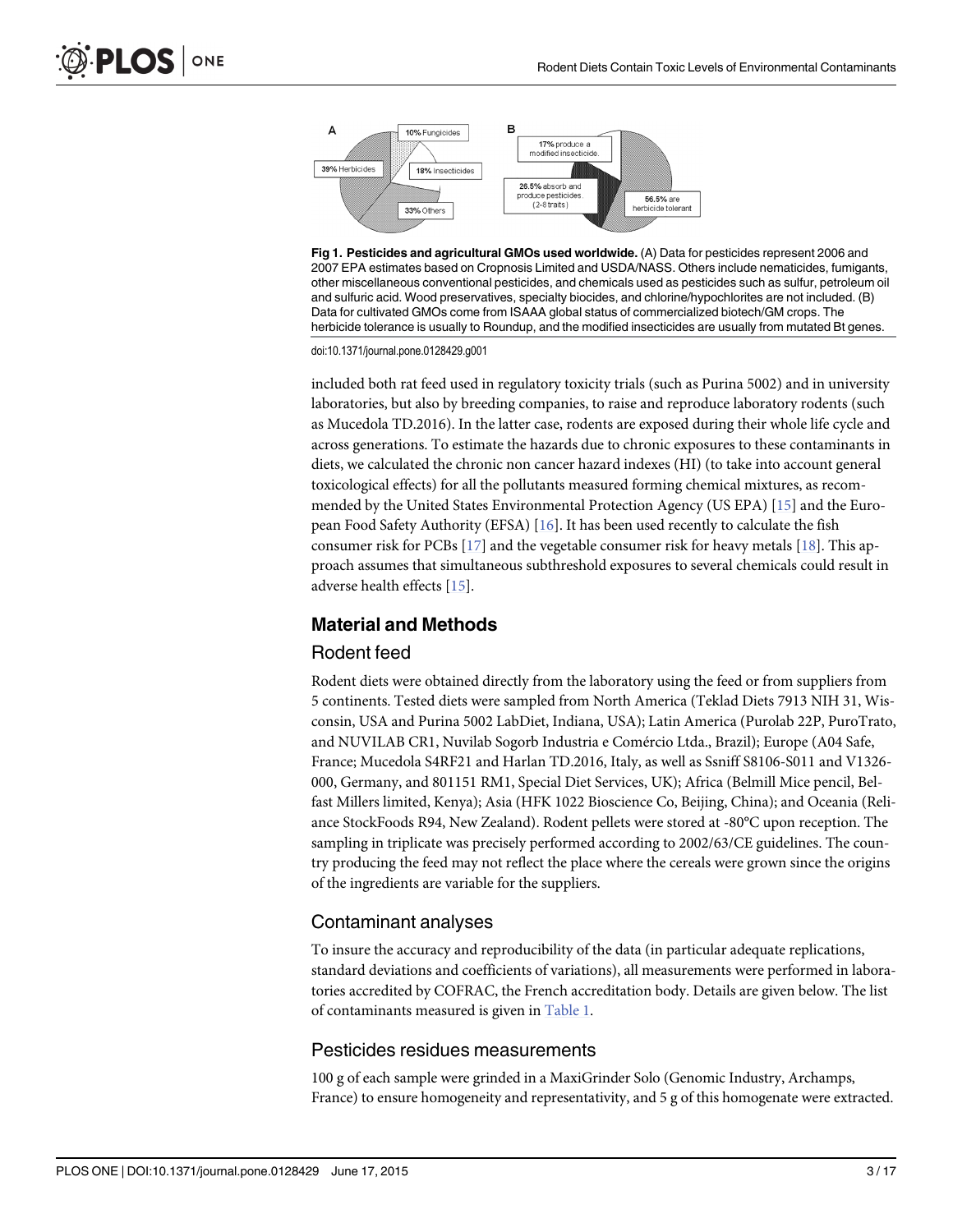



doi:10.1371/journal.pone.0128429.g001

included both rat feed used in regulatory toxicity trials (such as Purina 5002) and in university laboratories, but also by breeding companies, to raise and reproduce laboratory rodents (such as Mucedola TD.2016). In the latter case, rodents are exposed during their whole life cycle and across generations. To estimate the hazards due to chronic exposures to these contaminants in diets, we calculated the chronic non cancer hazard indexes (HI) (to take into account general toxicological effects) for all the pollutants measured forming chemical mixtures, as recommended by the United States Environmental Protection Agency (US EPA) [\[15\]](#page-13-0) and the European Food Safety Authority (EFSA) [ $16$ ]. It has been used recently to calculate the fish consumer risk for PCBs  $[17]$  $[17]$  $[17]$  and the vegetable consumer risk for heavy metals  $[18]$  $[18]$  $[18]$ . This approach assumes that simultaneous subthreshold exposures to several chemicals could result in adverse health effects [[15](#page-13-0)].

#### Material and Methods

#### Rodent feed

Rodent diets were obtained directly from the laboratory using the feed or from suppliers from 5 continents. Tested diets were sampled from North America (Teklad Diets 7913 NIH 31, Wisconsin, USA and Purina 5002 LabDiet, Indiana, USA); Latin America (Purolab 22P, PuroTrato, and NUVILAB CR1, Nuvilab Sogorb Industria e Comércio Ltda., Brazil); Europe (A04 Safe, France; Mucedola S4RF21 and Harlan TD.2016, Italy, as well as Ssniff S8106-S011 and V1326- 000, Germany, and 801151 RM1, Special Diet Services, UK); Africa (Belmill Mice pencil, Belfast Millers limited, Kenya); Asia (HFK 1022 Bioscience Co, Beijing, China); and Oceania (Reliance StockFoods R94, New Zealand). Rodent pellets were stored at -80°C upon reception. The sampling in triplicate was precisely performed according to 2002/63/CE guidelines. The country producing the feed may not reflect the place where the cereals were grown since the origins of the ingredients are variable for the suppliers.

#### Contaminant analyses

To insure the accuracy and reproducibility of the data (in particular adequate replications, standard deviations and coefficients of variations), all measurements were performed in laboratories accredited by COFRAC, the French accreditation body. Details are given below. The list of contaminants measured is given in [Table 1](#page-3-0).

#### Pesticides residues measurements

100 g of each sample were grinded in a MaxiGrinder Solo (Genomic Industry, Archamps, France) to ensure homogeneity and representativity, and 5 g of this homogenate were extracted.

<span id="page-2-0"></span>**PLOS I** 

ONE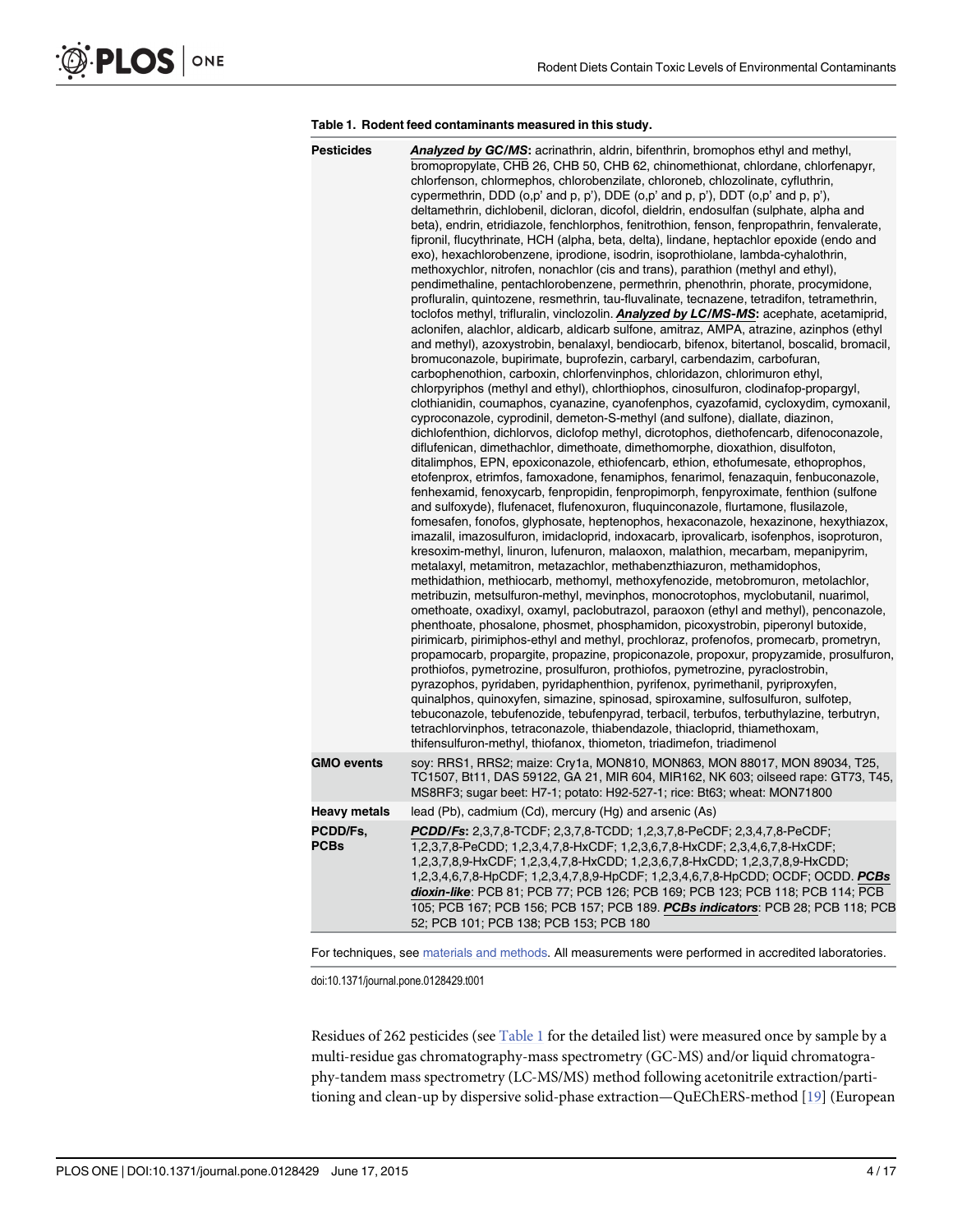#### [Table 1.](#page-2-0) Rodent feed contaminants measured in this study.

<span id="page-3-0"></span>

| <b>Pesticides</b>       | Analyzed by GC/MS: acrinathrin, aldrin, bifenthrin, bromophos ethyl and methyl,<br>bromopropylate, CHB 26, CHB 50, CHB 62, chinomethionat, chlordane, chlorfenapyr,<br>chlorfenson, chlormephos, chlorobenzilate, chloroneb, chlozolinate, cyfluthrin,<br>cypermethrin, DDD (o,p' and p, p'), DDE (o,p' and p, p'), DDT (o,p' and p, p'),<br>deltamethrin, dichlobenil, dicloran, dicofol, dieldrin, endosulfan (sulphate, alpha and<br>beta), endrin, etridiazole, fenchlorphos, fenitrothion, fenson, fenpropathrin, fenvalerate,<br>fipronil, flucythrinate, HCH (alpha, beta, delta), lindane, heptachlor epoxide (endo and<br>exo), hexachlorobenzene, iprodione, isodrin, isoprothiolane, lambda-cyhalothrin,<br>methoxychlor, nitrofen, nonachlor (cis and trans), parathion (methyl and ethyl),<br>pendimethaline, pentachlorobenzene, permethrin, phenothrin, phorate, procymidone,<br>profluralin, quintozene, resmethrin, tau-fluvalinate, tecnazene, tetradifon, tetramethrin,<br>toclofos methyl, trifluralin, vinclozolin. Analyzed by LC/MS-MS: acephate, acetamiprid,<br>aclonifen, alachlor, aldicarb, aldicarb sulfone, amitraz, AMPA, atrazine, azinphos (ethyl<br>and methyl), azoxystrobin, benalaxyl, bendiocarb, bifenox, bitertanol, boscalid, bromacil,<br>bromuconazole, bupirimate, buprofezin, carbaryl, carbendazim, carbofuran,<br>carbophenothion, carboxin, chlorfenvinphos, chloridazon, chlorimuron ethyl,<br>chlorpyriphos (methyl and ethyl), chlorthiophos, cinosulfuron, clodinafop-propargyl,<br>clothianidin, coumaphos, cyanazine, cyanofenphos, cyazofamid, cycloxydim, cymoxanil,<br>cyproconazole, cyprodinil, demeton-S-methyl (and sulfone), diallate, diazinon,<br>dichlofenthion, dichlorvos, diclofop methyl, dicrotophos, diethofencarb, difenoconazole,<br>diflufenican, dimethachlor, dimethoate, dimethomorphe, dioxathion, disulfoton,<br>ditalimphos, EPN, epoxiconazole, ethiofencarb, ethion, ethofumesate, ethoprophos,<br>etofenprox, etrimfos, famoxadone, fenamiphos, fenarimol, fenazaquin, fenbuconazole,<br>fenhexamid, fenoxycarb, fenpropidin, fenpropimorph, fenpyroximate, fenthion (sulfone<br>and sulfoxyde), flufenacet, flufenoxuron, fluquinconazole, flurtamone, flusilazole,<br>fomesafen, fonofos, glyphosate, heptenophos, hexaconazole, hexazinone, hexythiazox,<br>imazalil, imazosulfuron, imidacloprid, indoxacarb, iprovalicarb, isofenphos, isoproturon,<br>kresoxim-methyl, linuron, lufenuron, malaoxon, malathion, mecarbam, mepanipyrim,<br>metalaxyl, metamitron, metazachlor, methabenzthiazuron, methamidophos,<br>methidathion, methiocarb, methomyl, methoxyfenozide, metobromuron, metolachlor,<br>metribuzin, metsulfuron-methyl, mevinphos, monocrotophos, myclobutanil, nuarimol,<br>omethoate, oxadixyl, oxamyl, paclobutrazol, paraoxon (ethyl and methyl), penconazole,<br>phenthoate, phosalone, phosmet, phosphamidon, picoxystrobin, piperonyl butoxide,<br>pirimicarb, pirimiphos-ethyl and methyl, prochloraz, profenofos, promecarb, prometryn,<br>propamocarb, propargite, propazine, propiconazole, propoxur, propyzamide, prosulfuron,<br>prothiofos, pymetrozine, prosulfuron, prothiofos, pymetrozine, pyraclostrobin,<br>pyrazophos, pyridaben, pyridaphenthion, pyrifenox, pyrimethanil, pyriproxyfen,<br>quinalphos, quinoxyfen, simazine, spinosad, spiroxamine, sulfosulfuron, sulfotep,<br>tebuconazole, tebufenozide, tebufenpyrad, terbacil, terbufos, terbuthylazine, terbutryn,<br>tetrachlorvinphos, tetraconazole, thiabendazole, thiacloprid, thiamethoxam,<br>thifensulfuron-methyl, thiofanox, thiometon, triadimefon, triadimenol |
|-------------------------|-----------------------------------------------------------------------------------------------------------------------------------------------------------------------------------------------------------------------------------------------------------------------------------------------------------------------------------------------------------------------------------------------------------------------------------------------------------------------------------------------------------------------------------------------------------------------------------------------------------------------------------------------------------------------------------------------------------------------------------------------------------------------------------------------------------------------------------------------------------------------------------------------------------------------------------------------------------------------------------------------------------------------------------------------------------------------------------------------------------------------------------------------------------------------------------------------------------------------------------------------------------------------------------------------------------------------------------------------------------------------------------------------------------------------------------------------------------------------------------------------------------------------------------------------------------------------------------------------------------------------------------------------------------------------------------------------------------------------------------------------------------------------------------------------------------------------------------------------------------------------------------------------------------------------------------------------------------------------------------------------------------------------------------------------------------------------------------------------------------------------------------------------------------------------------------------------------------------------------------------------------------------------------------------------------------------------------------------------------------------------------------------------------------------------------------------------------------------------------------------------------------------------------------------------------------------------------------------------------------------------------------------------------------------------------------------------------------------------------------------------------------------------------------------------------------------------------------------------------------------------------------------------------------------------------------------------------------------------------------------------------------------------------------------------------------------------------------------------------------------------------------------------------------------------------------------------------------------------------------------------------------------------------------------------------------------------------------------------------------------------------------------------------------------------------------------------------------------------------------------------------------------------------------------------------------------------------------------------------------------------------------------------------------------|
| <b>GMO events</b>       | soy: RRS1, RRS2; maize: Cry1a, MON810, MON863, MON 88017, MON 89034, T25,<br>TC1507, Bt11, DAS 59122, GA 21, MIR 604, MIR162, NK 603; oilseed rape: GT73, T45,<br>MS8RF3; sugar beet: H7-1; potato: H92-527-1; rice: Bt63; wheat: MON71800                                                                                                                                                                                                                                                                                                                                                                                                                                                                                                                                                                                                                                                                                                                                                                                                                                                                                                                                                                                                                                                                                                                                                                                                                                                                                                                                                                                                                                                                                                                                                                                                                                                                                                                                                                                                                                                                                                                                                                                                                                                                                                                                                                                                                                                                                                                                                                                                                                                                                                                                                                                                                                                                                                                                                                                                                                                                                                                                                                                                                                                                                                                                                                                                                                                                                                                                                                                                                      |
| <b>Heavy metals</b>     | lead (Pb), cadmium (Cd), mercury (Hg) and arsenic (As)                                                                                                                                                                                                                                                                                                                                                                                                                                                                                                                                                                                                                                                                                                                                                                                                                                                                                                                                                                                                                                                                                                                                                                                                                                                                                                                                                                                                                                                                                                                                                                                                                                                                                                                                                                                                                                                                                                                                                                                                                                                                                                                                                                                                                                                                                                                                                                                                                                                                                                                                                                                                                                                                                                                                                                                                                                                                                                                                                                                                                                                                                                                                                                                                                                                                                                                                                                                                                                                                                                                                                                                                          |
| PCDD/Fs.<br><b>PCBs</b> | PCDD/Fs: 2,3,7,8-TCDF; 2,3,7,8-TCDD; 1,2,3,7,8-PeCDF; 2,3,4,7,8-PeCDF;<br>1,2,3,7,8-PeCDD; 1,2,3,4,7,8-HxCDF; 1,2,3,6,7,8-HxCDF; 2,3,4,6,7,8-HxCDF;<br>1,2,3,7,8,9-HxCDF; 1,2,3,4,7,8-HxCDD; 1,2,3,6,7,8-HxCDD; 1,2,3,7,8,9-HxCDD;<br>1,2,3,4,6,7,8-HpCDF; 1,2,3,4,7,8,9-HpCDF; 1,2,3,4,6,7,8-HpCDD; OCDF; OCDD. PCBs<br>dioxin-like: PCB 81; PCB 77; PCB 126; PCB 169; PCB 123; PCB 118; PCB 114; PCB<br>105; PCB 167; PCB 156; PCB 157; PCB 189. PCBs indicators: PCB 28; PCB 118; PCB<br>52; PCB 101; PCB 138; PCB 153; PCB 180                                                                                                                                                                                                                                                                                                                                                                                                                                                                                                                                                                                                                                                                                                                                                                                                                                                                                                                                                                                                                                                                                                                                                                                                                                                                                                                                                                                                                                                                                                                                                                                                                                                                                                                                                                                                                                                                                                                                                                                                                                                                                                                                                                                                                                                                                                                                                                                                                                                                                                                                                                                                                                                                                                                                                                                                                                                                                                                                                                                                                                                                                                                              |
|                         |                                                                                                                                                                                                                                                                                                                                                                                                                                                                                                                                                                                                                                                                                                                                                                                                                                                                                                                                                                                                                                                                                                                                                                                                                                                                                                                                                                                                                                                                                                                                                                                                                                                                                                                                                                                                                                                                                                                                                                                                                                                                                                                                                                                                                                                                                                                                                                                                                                                                                                                                                                                                                                                                                                                                                                                                                                                                                                                                                                                                                                                                                                                                                                                                                                                                                                                                                                                                                                                                                                                                                                                                                                                                 |

For techniques, see [materials and methods.](#page-2-0) All measurements were performed in accredited laboratories.

doi:10.1371/journal.pone.0128429.t001

Residues of 262 pesticides (see Table 1 for the detailed list) were measured once by sample by a multi-residue gas chromatography-mass spectrometry (GC-MS) and/or liquid chromatography-tandem mass spectrometry (LC-MS/MS) method following acetonitrile extraction/partitioning and clean-up by dispersive solid-phase extraction—QuEChERS-method [\[19\]](#page-13-0) (European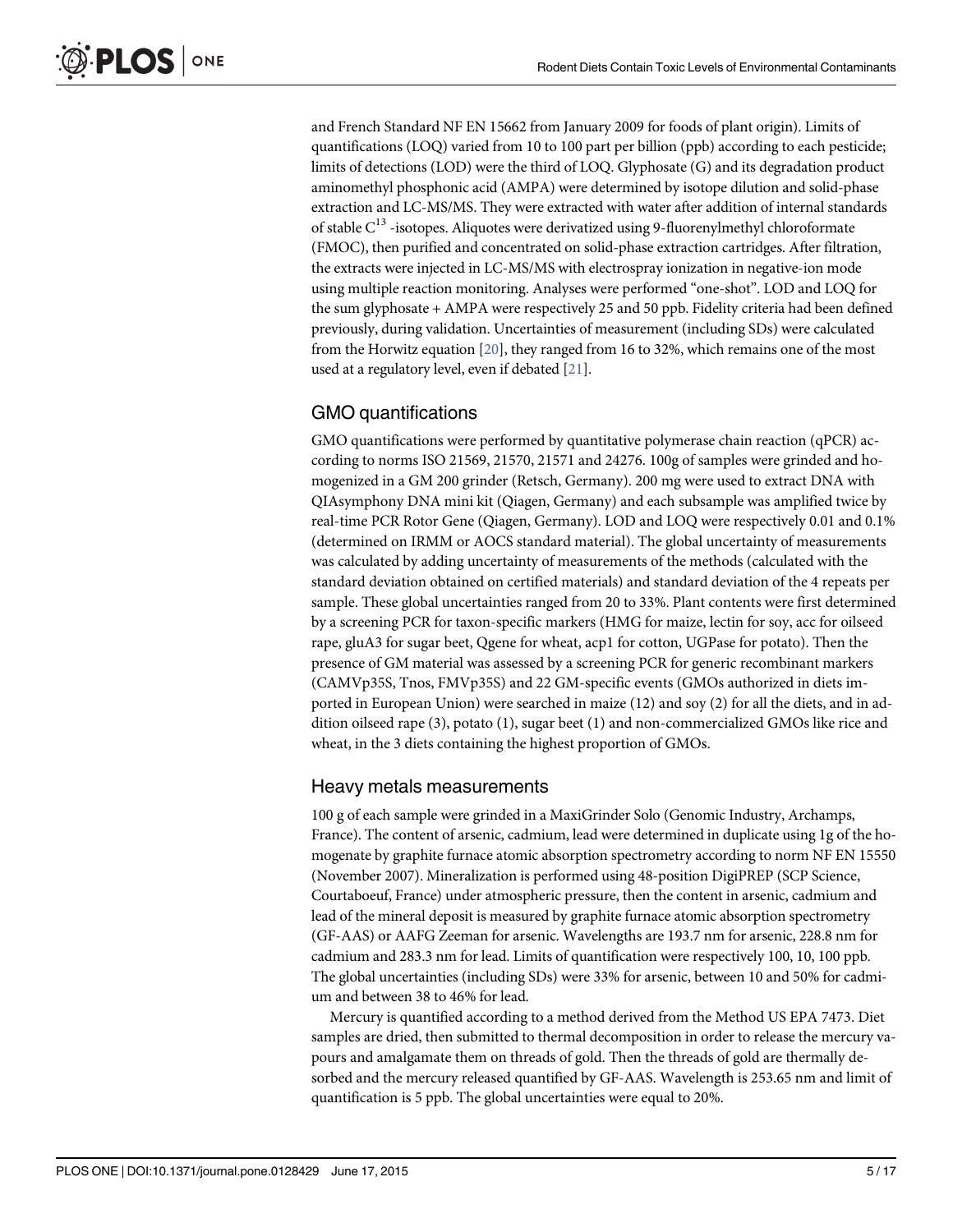<span id="page-4-0"></span>and French Standard NF EN 15662 from January 2009 for foods of plant origin). Limits of quantifications (LOQ) varied from 10 to 100 part per billion (ppb) according to each pesticide; limits of detections (LOD) were the third of LOQ. Glyphosate (G) and its degradation product aminomethyl phosphonic acid (AMPA) were determined by isotope dilution and solid-phase extraction and LC-MS/MS. They were extracted with water after addition of internal standards of stable  $C^{13}$  -isotopes. Aliquotes were derivatized using 9-fluorenylmethyl chloroformate (FMOC), then purified and concentrated on solid-phase extraction cartridges. After filtration, the extracts were injected in LC-MS/MS with electrospray ionization in negative-ion mode using multiple reaction monitoring. Analyses were performed "one-shot". LOD and LOQ for the sum glyphosate + AMPA were respectively 25 and 50 ppb. Fidelity criteria had been defined previously, during validation. Uncertainties of measurement (including SDs) were calculated from the Horwitz equation [\[20\]](#page-14-0), they ranged from 16 to 32%, which remains one of the most used at a regulatory level, even if debated [\[21\]](#page-14-0).

### GMO quantifications

GMO quantifications were performed by quantitative polymerase chain reaction (qPCR) according to norms ISO 21569, 21570, 21571 and 24276. 100g of samples were grinded and homogenized in a GM 200 grinder (Retsch, Germany). 200 mg were used to extract DNA with QIAsymphony DNA mini kit (Qiagen, Germany) and each subsample was amplified twice by real-time PCR Rotor Gene (Qiagen, Germany). LOD and LOQ were respectively 0.01 and 0.1% (determined on IRMM or AOCS standard material). The global uncertainty of measurements was calculated by adding uncertainty of measurements of the methods (calculated with the standard deviation obtained on certified materials) and standard deviation of the 4 repeats per sample. These global uncertainties ranged from 20 to 33%. Plant contents were first determined by a screening PCR for taxon-specific markers (HMG for maize, lectin for soy, acc for oilseed rape, gluA3 for sugar beet, Qgene for wheat, acp1 for cotton, UGPase for potato). Then the presence of GM material was assessed by a screening PCR for generic recombinant markers (CAMVp35S, Tnos, FMVp35S) and 22 GM-specific events (GMOs authorized in diets imported in European Union) were searched in maize (12) and soy (2) for all the diets, and in addition oilseed rape (3), potato (1), sugar beet (1) and non-commercialized GMOs like rice and wheat, in the 3 diets containing the highest proportion of GMOs.

## Heavy metals measurements

100 g of each sample were grinded in a MaxiGrinder Solo (Genomic Industry, Archamps, France). The content of arsenic, cadmium, lead were determined in duplicate using 1g of the homogenate by graphite furnace atomic absorption spectrometry according to norm NF EN 15550 (November 2007). Mineralization is performed using 48-position DigiPREP (SCP Science, Courtaboeuf, France) under atmospheric pressure, then the content in arsenic, cadmium and lead of the mineral deposit is measured by graphite furnace atomic absorption spectrometry (GF-AAS) or AAFG Zeeman for arsenic. Wavelengths are 193.7 nm for arsenic, 228.8 nm for cadmium and 283.3 nm for lead. Limits of quantification were respectively 100, 10, 100 ppb. The global uncertainties (including SDs) were 33% for arsenic, between 10 and 50% for cadmium and between 38 to 46% for lead.

Mercury is quantified according to a method derived from the Method US EPA 7473. Diet samples are dried, then submitted to thermal decomposition in order to release the mercury vapours and amalgamate them on threads of gold. Then the threads of gold are thermally desorbed and the mercury released quantified by GF-AAS. Wavelength is 253.65 nm and limit of quantification is 5 ppb. The global uncertainties were equal to 20%.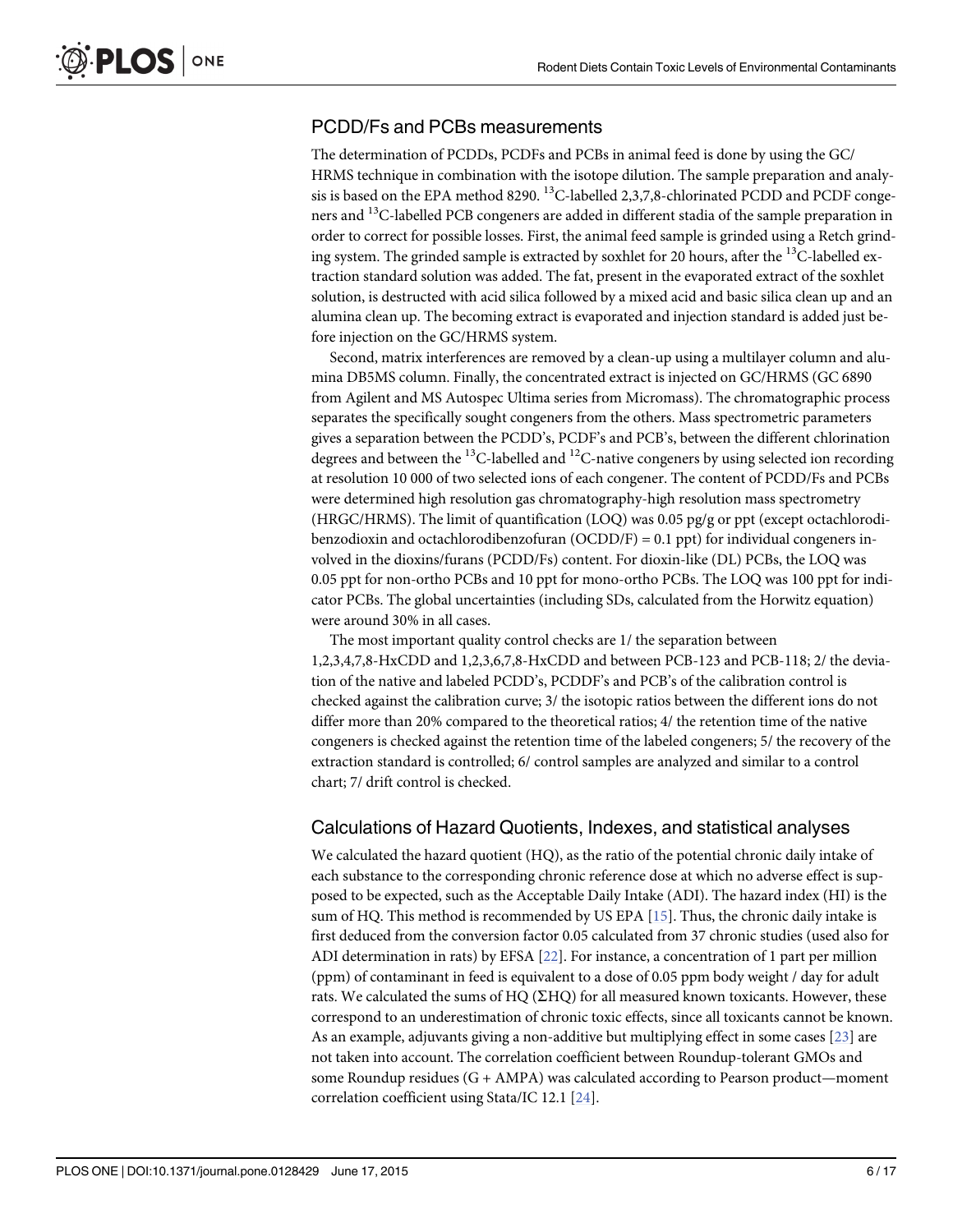## <span id="page-5-0"></span>PCDD/Fs and PCBs measurements

The determination of PCDDs, PCDFs and PCBs in animal feed is done by using the GC/ HRMS technique in combination with the isotope dilution. The sample preparation and analysis is based on the EPA method 8290.  $^{13}$ C-labelled 2,3,7,8-chlorinated PCDD and PCDF congeners and <sup>13</sup>C-labelled PCB congeners are added in different stadia of the sample preparation in order to correct for possible losses. First, the animal feed sample is grinded using a Retch grinding system. The grinded sample is extracted by soxhlet for 20 hours, after the <sup>13</sup>C-labelled extraction standard solution was added. The fat, present in the evaporated extract of the soxhlet solution, is destructed with acid silica followed by a mixed acid and basic silica clean up and an alumina clean up. The becoming extract is evaporated and injection standard is added just before injection on the GC/HRMS system.

Second, matrix interferences are removed by a clean-up using a multilayer column and alumina DB5MS column. Finally, the concentrated extract is injected on GC/HRMS (GC 6890 from Agilent and MS Autospec Ultima series from Micromass). The chromatographic process separates the specifically sought congeners from the others. Mass spectrometric parameters gives a separation between the PCDD's, PCDF's and PCB's, between the different chlorination degrees and between the <sup>13</sup>C-labelled and <sup>12</sup>C-native congeners by using selected ion recording at resolution 10 000 of two selected ions of each congener. The content of PCDD/Fs and PCBs were determined high resolution gas chromatography-high resolution mass spectrometry (HRGC/HRMS). The limit of quantification (LOQ) was 0.05 pg/g or ppt (except octachlorodibenzodioxin and octachlorodibenzofuran (OCDD/F) = 0.1 ppt) for individual congeners involved in the dioxins/furans (PCDD/Fs) content. For dioxin-like (DL) PCBs, the LOQ was 0.05 ppt for non-ortho PCBs and 10 ppt for mono-ortho PCBs. The LOQ was 100 ppt for indicator PCBs. The global uncertainties (including SDs, calculated from the Horwitz equation) were around 30% in all cases.

The most important quality control checks are 1/ the separation between 1,2,3,4,7,8-HxCDD and 1,2,3,6,7,8-HxCDD and between PCB-123 and PCB-118; 2/ the deviation of the native and labeled PCDD's, PCDDF's and PCB's of the calibration control is checked against the calibration curve; 3/ the isotopic ratios between the different ions do not differ more than 20% compared to the theoretical ratios; 4/ the retention time of the native congeners is checked against the retention time of the labeled congeners; 5/ the recovery of the extraction standard is controlled; 6/ control samples are analyzed and similar to a control chart; 7/ drift control is checked.

## Calculations of Hazard Quotients, Indexes, and statistical analyses

We calculated the hazard quotient (HQ), as the ratio of the potential chronic daily intake of each substance to the corresponding chronic reference dose at which no adverse effect is supposed to be expected, such as the Acceptable Daily Intake (ADI). The hazard index (HI) is the sum of HQ. This method is recommended by US EPA  $[15]$  $[15]$  $[15]$ . Thus, the chronic daily intake is first deduced from the conversion factor 0.05 calculated from 37 chronic studies (used also for ADI determination in rats) by EFSA [\[22\]](#page-14-0). For instance, a concentration of 1 part per million (ppm) of contaminant in feed is equivalent to a dose of 0.05 ppm body weight / day for adult rats. We calculated the sums of HQ  $(\Sigma$ HQ) for all measured known toxicants. However, these correspond to an underestimation of chronic toxic effects, since all toxicants cannot be known. As an example, adjuvants giving a non-additive but multiplying effect in some cases [\[23\]](#page-14-0) are not taken into account. The correlation coefficient between Roundup-tolerant GMOs and some Roundup residues (G + AMPA) was calculated according to Pearson product—moment correlation coefficient using Stata/IC 12.1 [[24\]](#page-14-0).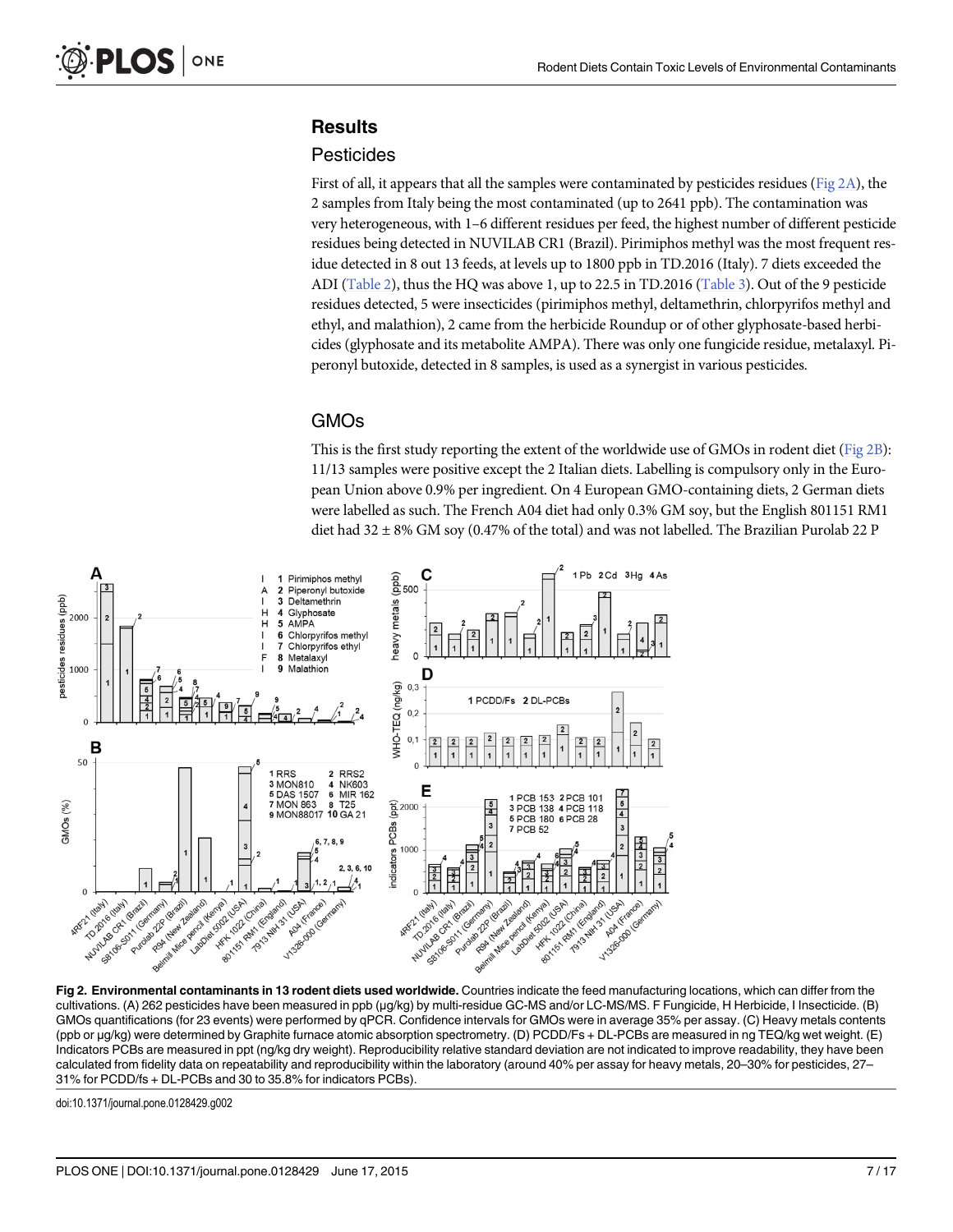## <span id="page-6-0"></span>**Results**

## **Pesticides**

First of all, it appears that all the samples were contaminated by pesticides residues (Fig  $2A$ ), the 2 samples from Italy being the most contaminated (up to 2641 ppb). The contamination was very heterogeneous, with 1–6 different residues per feed, the highest number of different pesticide residues being detected in NUVILAB CR1 (Brazil). Pirimiphos methyl was the most frequent residue detected in 8 out 13 feeds, at levels up to 1800 ppb in TD.2016 (Italy). 7 diets exceeded the ADI  $(Table 2)$  $(Table 2)$  $(Table 2)$ , thus the HQ was above 1, up to 22.5 in TD.2016  $(Table 3)$  $(Table 3)$ . Out of the 9 pesticide residues detected, 5 were insecticides (pirimiphos methyl, deltamethrin, chlorpyrifos methyl and ethyl, and malathion), 2 came from the herbicide Roundup or of other glyphosate-based herbicides (glyphosate and its metabolite AMPA). There was only one fungicide residue, metalaxyl. Piperonyl butoxide, detected in 8 samples, is used as a synergist in various pesticides.

## GMOs

This is the first study reporting the extent of the worldwide use of GMOs in rodent diet (Fig 2B): 11/13 samples were positive except the 2 Italian diets. Labelling is compulsory only in the European Union above 0.9% per ingredient. On 4 European GMO-containing diets, 2 German diets were labelled as such. The French A04 diet had only 0.3% GM soy, but the English 801151 RM1 diet had 32 ± 8% GM soy (0.47% of the total) and was not labelled. The Brazilian Purolab 22 P



Fig 2. Environmental contaminants in 13 rodent diets used worldwide. Countries indicate the feed manufacturing locations, which can differ from the cultivations. (A) 262 pesticides have been measured in ppb (μg/kg) by multi-residue GC-MS and/or LC-MS/MS. F Fungicide, H Herbicide, I Insecticide. (B) GMOs quantifications (for 23 events) were performed by qPCR. Confidence intervals for GMOs were in average 35% per assay. (C) Heavy metals contents (ppb or μg/kg) were determined by Graphite furnace atomic absorption spectrometry. (D) PCDD/Fs + DL-PCBs are measured in ng TEQ/kg wet weight. (E) Indicators PCBs are measured in ppt (ng/kg dry weight). Reproducibility relative standard deviation are not indicated to improve readability, they have been calculated from fidelity data on repeatability and reproducibility within the laboratory (around 40% per assay for heavy metals, 20–30% for pesticides, 27– 31% for PCDD/fs + DL-PCBs and 30 to 35.8% for indicators PCBs).

doi:10.1371/journal.pone.0128429.g002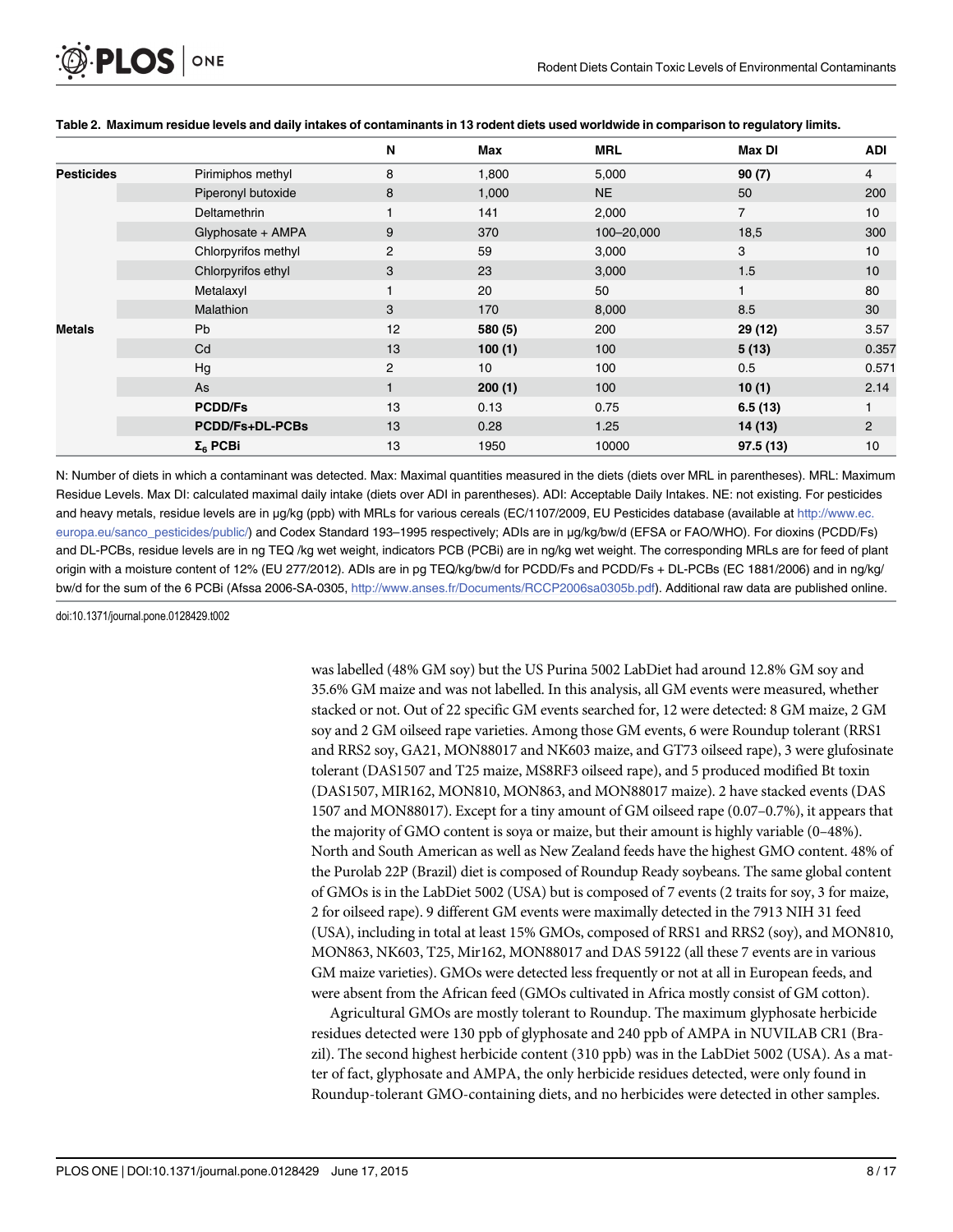<span id="page-7-0"></span>

|                   |                        | N              | Max     | <b>MRL</b> | Max DI         | <b>ADI</b>     |
|-------------------|------------------------|----------------|---------|------------|----------------|----------------|
| <b>Pesticides</b> | Pirimiphos methyl      | 8              | 1,800   | 5,000      | 90(7)          | 4              |
|                   | Piperonyl butoxide     | 8              | 1,000   | <b>NE</b>  | 50             | 200            |
|                   | Deltamethrin           |                | 141     | 2,000      | $\overline{7}$ | 10             |
|                   | Glyphosate + AMPA      | 9              | 370     | 100-20,000 | 18,5           | 300            |
|                   | Chlorpyrifos methyl    | 2              | 59      | 3,000      | 3              | 10             |
|                   | Chlorpyrifos ethyl     | 3              | 23      | 3,000      | 1.5            | 10             |
|                   | Metalaxyl              |                | 20      | 50         |                | 80             |
|                   | Malathion              | 3              | 170     | 8,000      | 8.5            | 30             |
| Metals            | Pb                     | 12             | 580 (5) | 200        | 29 (12)        | 3.57           |
|                   | Cd                     | 13             | 100(1)  | 100        | 5(13)          | 0.357          |
|                   | Hg                     | $\overline{c}$ | 10      | 100        | 0.5            | 0.571          |
|                   | As                     |                | 200(1)  | 100        | 10(1)          | 2.14           |
|                   | <b>PCDD/Fs</b>         | 13             | 0.13    | 0.75       | 6.5(13)        |                |
|                   | <b>PCDD/Fs+DL-PCBs</b> | 13             | 0.28    | 1.25       | 14(13)         | $\overline{c}$ |
|                   | Σ <sub>6</sub> PCBi    | 13             | 1950    | 10000      | 97.5(13)       | 10             |

#### [Table 2.](#page-6-0) Maximum residue levels and daily intakes of contaminants in 13 rodent diets used worldwide in comparison to regulatory limits.

N: Number of diets in which a contaminant was detected. Max: Maximal quantities measured in the diets (diets over MRL in parentheses). MRL: Maximum Residue Levels. Max DI: calculated maximal daily intake (diets over ADI in parentheses). ADI: Acceptable Daily Intakes. NE: not existing. For pesticides and heavy metals, residue levels are in μg/kg (ppb) with MRLs for various cereals (EC/1107/2009, EU Pesticides database (available at [http://www.ec.](http://www.ec.europa.eu/sanco_pesticides/public/) [europa.eu/sanco\\_pesticides/public/\)](http://www.ec.europa.eu/sanco_pesticides/public/) and Codex Standard 193–1995 respectively; ADIs are in μg/kg/bw/d (EFSA or FAO/WHO). For dioxins (PCDD/Fs) and DL-PCBs, residue levels are in ng TEQ /kg wet weight, indicators PCB (PCBi) are in ng/kg wet weight. The corresponding MRLs are for feed of plant origin with a moisture content of 12% (EU 277/2012). ADIs are in pg TEQ/kg/bw/d for PCDD/Fs and PCDD/Fs + DL-PCBs (EC 1881/2006) and in ng/kg/ bw/d for the sum of the 6 PCBi (Afssa 2006-SA-0305, [http://www.anses.fr/Documents/RCCP2006sa0305b.pdf\)](http://www.anses.fr/Documents/RCCP2006sa0305b.pdf). Additional raw data are published online.

doi:10.1371/journal.pone.0128429.t002

was labelled (48% GM soy) but the US Purina 5002 LabDiet had around 12.8% GM soy and 35.6% GM maize and was not labelled. In this analysis, all GM events were measured, whether stacked or not. Out of 22 specific GM events searched for, 12 were detected: 8 GM maize, 2 GM soy and 2 GM oilseed rape varieties. Among those GM events, 6 were Roundup tolerant (RRS1 and RRS2 soy, GA21, MON88017 and NK603 maize, and GT73 oilseed rape), 3 were glufosinate tolerant (DAS1507 and T25 maize, MS8RF3 oilseed rape), and 5 produced modified Bt toxin (DAS1507, MIR162, MON810, MON863, and MON88017 maize). 2 have stacked events (DAS 1507 and MON88017). Except for a tiny amount of GM oilseed rape (0.07–0.7%), it appears that the majority of GMO content is soya or maize, but their amount is highly variable (0–48%). North and South American as well as New Zealand feeds have the highest GMO content. 48% of the Purolab 22P (Brazil) diet is composed of Roundup Ready soybeans. The same global content of GMOs is in the LabDiet 5002 (USA) but is composed of 7 events (2 traits for soy, 3 for maize, 2 for oilseed rape). 9 different GM events were maximally detected in the 7913 NIH 31 feed (USA), including in total at least 15% GMOs, composed of RRS1 and RRS2 (soy), and MON810, MON863, NK603, T25, Mir162, MON88017 and DAS 59122 (all these 7 events are in various GM maize varieties). GMOs were detected less frequently or not at all in European feeds, and were absent from the African feed (GMOs cultivated in Africa mostly consist of GM cotton).

Agricultural GMOs are mostly tolerant to Roundup. The maximum glyphosate herbicide residues detected were 130 ppb of glyphosate and 240 ppb of AMPA in NUVILAB CR1 (Brazil). The second highest herbicide content (310 ppb) was in the LabDiet 5002 (USA). As a matter of fact, glyphosate and AMPA, the only herbicide residues detected, were only found in Roundup-tolerant GMO-containing diets, and no herbicides were detected in other samples.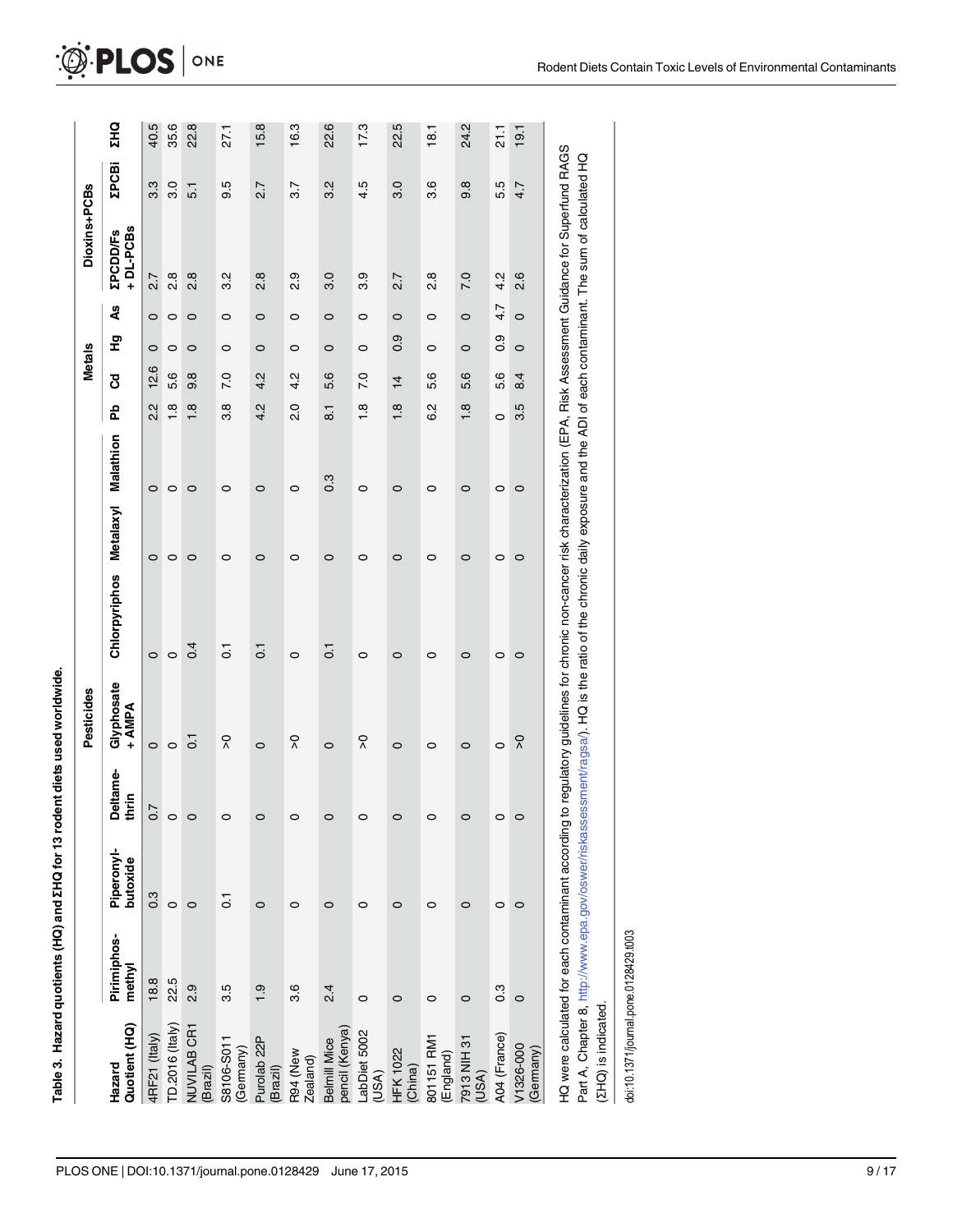<span id="page-8-0"></span>

|                                     |                                                   |                        |                          | Pesticides           |                                                                                                                                                                                                                                                                                                        |           |           |                | <b>Metals</b> |               |         | Dioxins+PCBs                |               |            |
|-------------------------------------|---------------------------------------------------|------------------------|--------------------------|----------------------|--------------------------------------------------------------------------------------------------------------------------------------------------------------------------------------------------------------------------------------------------------------------------------------------------------|-----------|-----------|----------------|---------------|---------------|---------|-----------------------------|---------------|------------|
| Quotient (HQ)<br>Hazard             | Pirimiphos-<br>methyl                             | Piperonyl-<br>butoxide | <b>Deltame-</b><br>thrin | Givphosate<br>+ AMPA | Chlorpyriphos                                                                                                                                                                                                                                                                                          | Metalaxyl | Malathion | 운              | შ<br>ბ        | 문             | å       | +DL-PCBs<br><b>ZPCDD/Fs</b> | <b>ZPCBi</b>  | <b>ZHQ</b> |
| 4RF21 (Italy)                       | 18.8                                              | $0.\overline{3}$       | $\overline{.0}$          | $\circ$              | $\circ$                                                                                                                                                                                                                                                                                                | $\circ$   | $\circ$   | 2.2            | 12.6          | $\circ$       | $\circ$ | 2.7                         | 33            | 40.5       |
| TD.2016 (Italy)                     | 22.5                                              | $\circ$                |                          | $\circ$              | $\circ$                                                                                                                                                                                                                                                                                                | 0         | $\circ$   | $\frac{8}{1}$  | 5.6           | $\circ$       | $\circ$ | $\frac{8}{2}$               | $\frac{0}{3}$ | 35.6       |
| NUVILAB CR1<br>(Brazil)             | 2.9                                               | $\circ$                |                          | $\overline{C}$       | 0.4                                                                                                                                                                                                                                                                                                    | 0         | $\circ$   | œ              | 9.8           | 0             | $\circ$ | $\frac{8}{2}$               | 5.1           | 22.8       |
| S8106-S011<br>(Germany)             | 3.5                                               | $\overline{C}$         |                          | ၃                    | $\overline{0}$                                                                                                                                                                                                                                                                                         | 0         | 0         | 8.6            | <b>P.O</b>    | 0             | $\circ$ | 32                          | 9.5           | 27.1       |
| Purolab <sub>22</sub> P<br>(Brazil) | $\overline{6}$                                    | $\circ$                |                          | $\circ$              | $\overline{0}$                                                                                                                                                                                                                                                                                         | $\circ$   | $\circ$   | 4.2            | 4.2           | $\circ$       | $\circ$ | $\frac{8}{2}$               | 2.7           | 15.8       |
| R94 (New<br>Zealand)                | 3.6                                               | 0                      |                          | ၃                    | 0                                                                                                                                                                                                                                                                                                      | 0         | 0         | $\frac{0}{2}$  | 4.2           | $\circ$       | $\circ$ | 2.9                         | 5.7           | 16.3       |
| pencil (Kenya)<br>Belmill Mice      | 2.4                                               | 0                      |                          | $\circ$              | $\overline{0}$                                                                                                                                                                                                                                                                                         | $\circ$   | 0.3       | $\overline{8}$ | 5.6           | $\circ$       | $\circ$ | 3.0                         | 32            | 22.6       |
| LabDiet 5002<br>(USA)               | $\circ$                                           | $\circ$                |                          | ၃                    | $\circ$                                                                                                                                                                                                                                                                                                | $\circ$   | $\circ$   | œ              | 7.0           | $\circ$       | $\circ$ | 3.9                         | 4.5           | 17.3       |
| <b>HFK 1022</b><br>(China)          | 0                                                 | 0                      |                          | $\circ$              | $\circ$                                                                                                                                                                                                                                                                                                | $\circ$   | $\circ$   | œ              | $\frac{1}{4}$ | $\frac{0}{2}$ | $\circ$ | 2.7                         | 3.0           | 22.5       |
| 801151 RM1<br>(England)             | $\circ$                                           | $\circ$                |                          | $\circ$              | 0                                                                                                                                                                                                                                                                                                      | 0         | $\circ$   | $\frac{2}{3}$  | 5.6           | 0             | $\circ$ | $\frac{8}{2}$               | 3.6           | 18.1       |
| 7913 NIH 31<br>(USA)                | $\circ$                                           | $\circ$                |                          | $\circ$              | $\circ$                                                                                                                                                                                                                                                                                                | $\circ$   | $\circ$   | œ              | 5.6           | $\circ$       | $\circ$ | 7.0                         | 9.8           | 24.2       |
| A04 (France)                        | $0.\overline{3}$                                  | $\circ$                |                          | $\circ$              | 0                                                                                                                                                                                                                                                                                                      | 0         | 0         | 0              | 5.6           | 0.9           | 4.7     | 4.2                         | 5.5           | 21.1       |
| V1326-000<br>(Germany)              | $\circ$                                           | $\circ$                |                          | ၃                    | $\circ$                                                                                                                                                                                                                                                                                                | $\circ$   | $\circ$   | 3.5            | 8.4           | $\circ$       | $\circ$ | 2.6                         | 4.7           | 19.1       |
|                                     | HQ were calculated for each contaminant according |                        |                          |                      | to regulatory guidelines for chronic non-cancer risk characterization (EPA, Risk Assessment Guidance for Superfund RAGS<br>Part A, Chapter 8, http://www.epa.gov/oswer/riskassessment/ragsa/). HQ is the ratio of the chronic daily exposure and the ADI of each contaminant. The sum of calculated HQ |           |           |                |               |               |         |                             |               |            |

doi:10.1371/journal.pone.0128429.t003 doi:10.1371/journal.pone.0128429.t003

(ΣHQ) is indicated.

(ΣHQ) is indicated.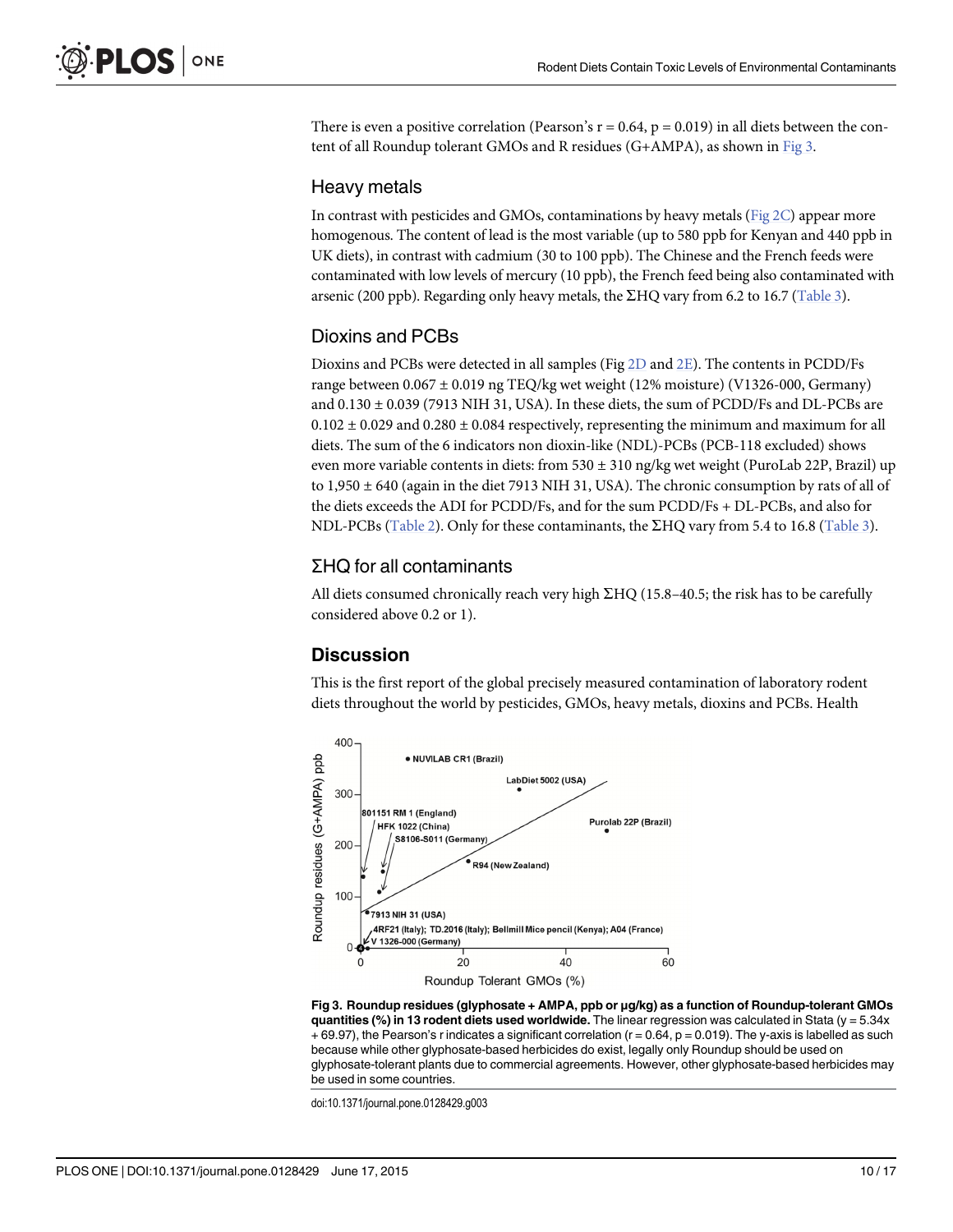There is even a positive correlation (Pearson's  $r = 0.64$ ,  $p = 0.019$ ) in all diets between the content of all Roundup tolerant GMOs and R residues (G+AMPA), as shown in Fig 3.

## Heavy metals

In contrast with pesticides and GMOs, contaminations by heavy metals (Fig  $2C$ ) appear more homogenous. The content of lead is the most variable (up to 580 ppb for Kenyan and 440 ppb in UK diets), in contrast with cadmium (30 to 100 ppb). The Chinese and the French feeds were contaminated with low levels of mercury (10 ppb), the French feed being also contaminated with arsenic (200 ppb). Regarding only heavy metals, the  $\Sigma$ HQ vary from 6.2 to 16.7 [\(Table 3\)](#page-8-0).

## Dioxins and PCBs

Dioxins and PCBs were detected in all samples (Fig [2D](#page-6-0) and [2E](#page-6-0)). The contents in PCDD/Fs range between 0.067 ± 0.019 ng TEQ/kg wet weight (12% moisture) (V1326-000, Germany) and  $0.130 \pm 0.039$  (7913 NIH 31, USA). In these diets, the sum of PCDD/Fs and DL-PCBs are  $0.102 \pm 0.029$  and  $0.280 \pm 0.084$  respectively, representing the minimum and maximum for all diets. The sum of the 6 indicators non dioxin-like (NDL)-PCBs (PCB-118 excluded) shows even more variable contents in diets: from 530 ± 310 ng/kg wet weight (PuroLab 22P, Brazil) up to 1,950 ± 640 (again in the diet 7913 NIH 31, USA). The chronic consumption by rats of all of the diets exceeds the ADI for PCDD/Fs, and for the sum PCDD/Fs + DL-PCBs, and also for NDL-PCBs ([Table 2\)](#page-7-0). Only for these contaminants, the  $\Sigma HQ$  vary from 5.4 to 16.8 ([Table 3\)](#page-8-0).

## ΣHQ for all contaminants

All diets consumed chronically reach very high  $\Sigma HQ$  (15.8–40.5; the risk has to be carefully considered above 0.2 or 1).

## **Discussion**

This is the first report of the global precisely measured contamination of laboratory rodent diets throughout the world by pesticides, GMOs, heavy metals, dioxins and PCBs. Health



Fig 3. Roundup residues (glyphosate + AMPA, ppb or μg/kg) as a function of Roundup-tolerant GMOs quantities (%) in 13 rodent diets used worldwide. The linear regression was calculated in Stata ( $y = 5.34x$  $+ 69.97$ ), the Pearson's r indicates a significant correlation ( $r = 0.64$ ,  $p = 0.019$ ). The y-axis is labelled as such because while other glyphosate-based herbicides do exist, legally only Roundup should be used on glyphosate-tolerant plants due to commercial agreements. However, other glyphosate-based herbicides may be used in some countries.

doi:10.1371/journal.pone.0128429.g003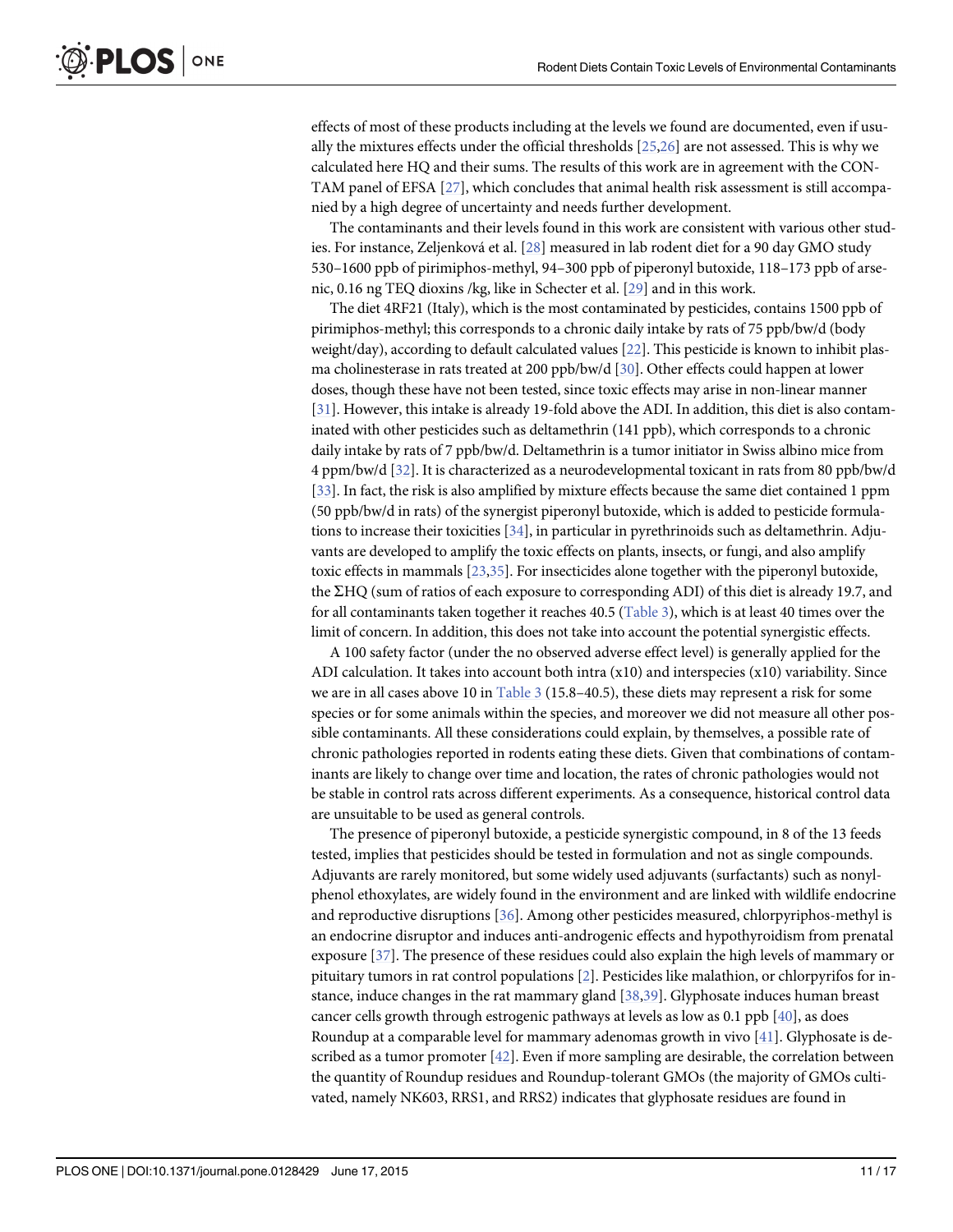<span id="page-10-0"></span>effects of most of these products including at the levels we found are documented, even if usually the mixtures effects under the official thresholds [\[25,26\]](#page-14-0) are not assessed. This is why we calculated here HQ and their sums. The results of this work are in agreement with the CON-TAM panel of EFSA [\[27\]](#page-14-0), which concludes that animal health risk assessment is still accompanied by a high degree of uncertainty and needs further development.

The contaminants and their levels found in this work are consistent with various other studies. For instance, Zeljenková et al. [[28\]](#page-14-0) measured in lab rodent diet for a 90 day GMO study 530–1600 ppb of pirimiphos-methyl, 94–300 ppb of piperonyl butoxide, 118–173 ppb of arsenic, 0.16 ng TEQ dioxins /kg, like in Schecter et al. [[29](#page-14-0)] and in this work.

The diet 4RF21 (Italy), which is the most contaminated by pesticides, contains 1500 ppb of pirimiphos-methyl; this corresponds to a chronic daily intake by rats of 75 ppb/bw/d (body weight/day), according to default calculated values [[22](#page-14-0)]. This pesticide is known to inhibit plasma cholinesterase in rats treated at 200 ppb/bw/d [\[30\]](#page-14-0). Other effects could happen at lower doses, though these have not been tested, since toxic effects may arise in non-linear manner [\[31\]](#page-14-0). However, this intake is already 19-fold above the ADI. In addition, this diet is also contaminated with other pesticides such as deltamethrin (141 ppb), which corresponds to a chronic daily intake by rats of 7 ppb/bw/d. Deltamethrin is a tumor initiator in Swiss albino mice from 4 ppm/bw/d [\[32\]](#page-14-0). It is characterized as a neurodevelopmental toxicant in rats from 80 ppb/bw/d [\[33\]](#page-14-0). In fact, the risk is also amplified by mixture effects because the same diet contained 1 ppm (50 ppb/bw/d in rats) of the synergist piperonyl butoxide, which is added to pesticide formulations to increase their toxicities [\[34\]](#page-14-0), in particular in pyrethrinoids such as deltamethrin. Adjuvants are developed to amplify the toxic effects on plants, insects, or fungi, and also amplify toxic effects in mammals [\[23](#page-14-0),[35](#page-14-0)]. For insecticides alone together with the piperonyl butoxide, the SHQ (sum of ratios of each exposure to corresponding ADI) of this diet is already 19.7, and for all contaminants taken together it reaches 40.5 ([Table 3\)](#page-8-0), which is at least 40 times over the limit of concern. In addition, this does not take into account the potential synergistic effects.

A 100 safety factor (under the no observed adverse effect level) is generally applied for the ADI calculation. It takes into account both intra (x10) and interspecies (x10) variability. Since we are in all cases above 10 in [Table 3](#page-8-0) (15.8–40.5), these diets may represent a risk for some species or for some animals within the species, and moreover we did not measure all other possible contaminants. All these considerations could explain, by themselves, a possible rate of chronic pathologies reported in rodents eating these diets. Given that combinations of contaminants are likely to change over time and location, the rates of chronic pathologies would not be stable in control rats across different experiments. As a consequence, historical control data are unsuitable to be used as general controls.

The presence of piperonyl butoxide, a pesticide synergistic compound, in 8 of the 13 feeds tested, implies that pesticides should be tested in formulation and not as single compounds. Adjuvants are rarely monitored, but some widely used adjuvants (surfactants) such as nonylphenol ethoxylates, are widely found in the environment and are linked with wildlife endocrine and reproductive disruptions [[36\]](#page-14-0). Among other pesticides measured, chlorpyriphos-methyl is an endocrine disruptor and induces anti-androgenic effects and hypothyroidism from prenatal exposure [\[37\]](#page-14-0). The presence of these residues could also explain the high levels of mammary or pituitary tumors in rat control populations [\[2](#page-13-0)]. Pesticides like malathion, or chlorpyrifos for instance, induce changes in the rat mammary gland [[38,39\]](#page-14-0). Glyphosate induces human breast cancer cells growth through estrogenic pathways at levels as low as 0.1 ppb [[40](#page-14-0)], as does Roundup at a comparable level for mammary adenomas growth in vivo [[41](#page-14-0)]. Glyphosate is described as a tumor promoter  $[42]$ . Even if more sampling are desirable, the correlation between the quantity of Roundup residues and Roundup-tolerant GMOs (the majority of GMOs cultivated, namely NK603, RRS1, and RRS2) indicates that glyphosate residues are found in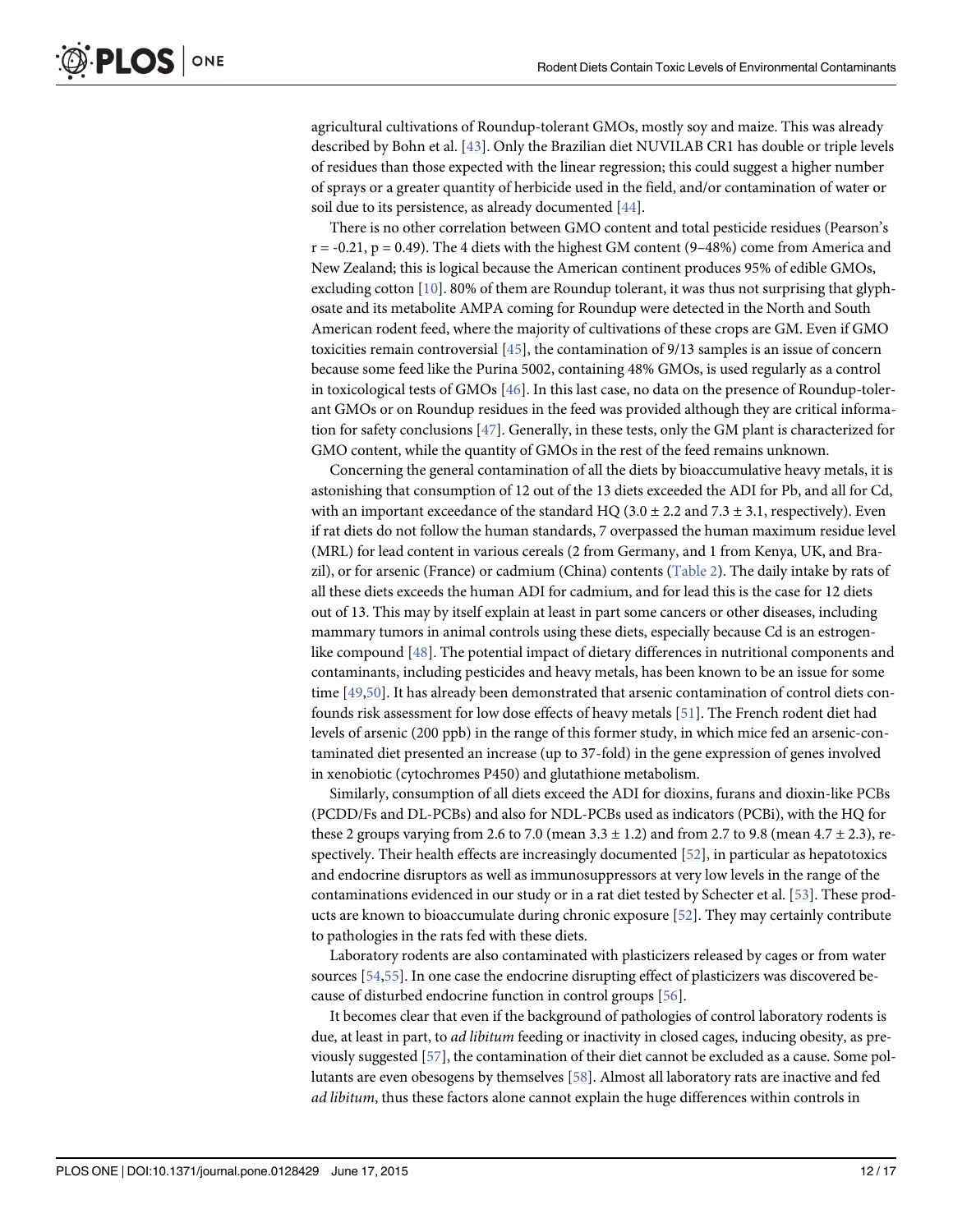<span id="page-11-0"></span>agricultural cultivations of Roundup-tolerant GMOs, mostly soy and maize. This was already described by Bohn et al. [[43](#page-15-0)]. Only the Brazilian diet NUVILAB CR1 has double or triple levels of residues than those expected with the linear regression; this could suggest a higher number of sprays or a greater quantity of herbicide used in the field, and/or contamination of water or soil due to its persistence, as already documented [\[44](#page-15-0)].

There is no other correlation between GMO content and total pesticide residues (Pearson's  $r = -0.21$ ,  $p = 0.49$ ). The 4 diets with the highest GM content (9-48%) come from America and New Zealand; this is logical because the American continent produces 95% of edible GMOs, excluding cotton  $[10]$  $[10]$  $[10]$ . 80% of them are Roundup tolerant, it was thus not surprising that glyphosate and its metabolite AMPA coming for Roundup were detected in the North and South American rodent feed, where the majority of cultivations of these crops are GM. Even if GMO toxicities remain controversial  $[45]$  $[45]$  $[45]$ , the contamination of 9/13 samples is an issue of concern because some feed like the Purina 5002, containing 48% GMOs, is used regularly as a control in toxicological tests of GMOs [\[46\]](#page-15-0). In this last case, no data on the presence of Roundup-tolerant GMOs or on Roundup residues in the feed was provided although they are critical information for safety conclusions [\[47](#page-15-0)]. Generally, in these tests, only the GM plant is characterized for GMO content, while the quantity of GMOs in the rest of the feed remains unknown.

Concerning the general contamination of all the diets by bioaccumulative heavy metals, it is astonishing that consumption of 12 out of the 13 diets exceeded the ADI for Pb, and all for Cd, with an important exceedance of the standard HQ (3.0  $\pm$  2.2 and 7.3  $\pm$  3.1, respectively). Even if rat diets do not follow the human standards, 7 overpassed the human maximum residue level (MRL) for lead content in various cereals (2 from Germany, and 1 from Kenya, UK, and Brazil), or for arsenic (France) or cadmium (China) contents ([Table 2](#page-7-0)). The daily intake by rats of all these diets exceeds the human ADI for cadmium, and for lead this is the case for 12 diets out of 13. This may by itself explain at least in part some cancers or other diseases, including mammary tumors in animal controls using these diets, especially because Cd is an estrogenlike compound [\[48\]](#page-15-0). The potential impact of dietary differences in nutritional components and contaminants, including pesticides and heavy metals, has been known to be an issue for some time [[49,50\]](#page-15-0). It has already been demonstrated that arsenic contamination of control diets confounds risk assessment for low dose effects of heavy metals [\[51\]](#page-15-0). The French rodent diet had levels of arsenic (200 ppb) in the range of this former study, in which mice fed an arsenic-contaminated diet presented an increase (up to 37-fold) in the gene expression of genes involved in xenobiotic (cytochromes P450) and glutathione metabolism.

Similarly, consumption of all diets exceed the ADI for dioxins, furans and dioxin-like PCBs (PCDD/Fs and DL-PCBs) and also for NDL-PCBs used as indicators (PCBi), with the HQ for these 2 groups varying from 2.6 to 7.0 (mean 3.3  $\pm$  1.2) and from 2.7 to 9.8 (mean 4.7  $\pm$  2.3), respectively. Their health effects are increasingly documented [\[52\]](#page-15-0), in particular as hepatotoxics and endocrine disruptors as well as immunosuppressors at very low levels in the range of the contaminations evidenced in our study or in a rat diet tested by Schecter et al. [\[53](#page-15-0)]. These products are known to bioaccumulate during chronic exposure [[52](#page-15-0)]. They may certainly contribute to pathologies in the rats fed with these diets.

Laboratory rodents are also contaminated with plasticizers released by cages or from water sources [\[54,55\]](#page-15-0). In one case the endocrine disrupting effect of plasticizers was discovered because of disturbed endocrine function in control groups [\[56\]](#page-15-0).

It becomes clear that even if the background of pathologies of control laboratory rodents is due, at least in part, to *ad libitum* feeding or inactivity in closed cages, inducing obesity, as previously suggested [\[57\]](#page-15-0), the contamination of their diet cannot be excluded as a cause. Some pollutants are even obesogens by themselves [\[58\]](#page-15-0). Almost all laboratory rats are inactive and fed ad libitum, thus these factors alone cannot explain the huge differences within controls in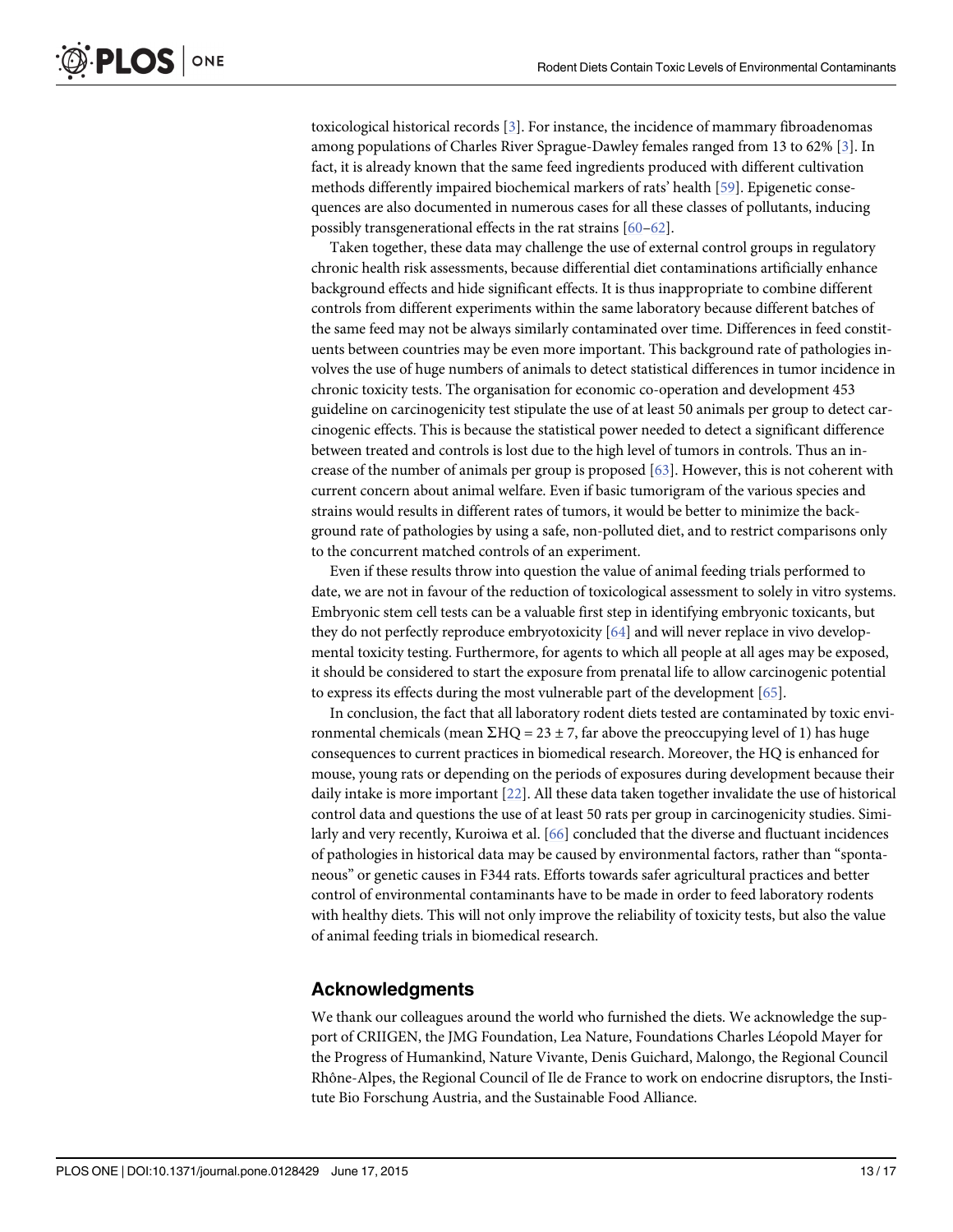<span id="page-12-0"></span>toxicological historical records [[3](#page-13-0)]. For instance, the incidence of mammary fibroadenomas among populations of Charles River Sprague-Dawley females ranged from 13 to 62% [[3\]](#page-13-0). In fact, it is already known that the same feed ingredients produced with different cultivation methods differently impaired biochemical markers of rats' health [[59](#page-15-0)]. Epigenetic consequences are also documented in numerous cases for all these classes of pollutants, inducing possibly transgenerational effects in the rat strains [\[60](#page-15-0)–[62\]](#page-15-0).

Taken together, these data may challenge the use of external control groups in regulatory chronic health risk assessments, because differential diet contaminations artificially enhance background effects and hide significant effects. It is thus inappropriate to combine different controls from different experiments within the same laboratory because different batches of the same feed may not be always similarly contaminated over time. Differences in feed constituents between countries may be even more important. This background rate of pathologies involves the use of huge numbers of animals to detect statistical differences in tumor incidence in chronic toxicity tests. The organisation for economic co-operation and development 453 guideline on carcinogenicity test stipulate the use of at least 50 animals per group to detect carcinogenic effects. This is because the statistical power needed to detect a significant difference between treated and controls is lost due to the high level of tumors in controls. Thus an increase of the number of animals per group is proposed  $[63]$  $[63]$  $[63]$ . However, this is not coherent with current concern about animal welfare. Even if basic tumorigram of the various species and strains would results in different rates of tumors, it would be better to minimize the background rate of pathologies by using a safe, non-polluted diet, and to restrict comparisons only to the concurrent matched controls of an experiment.

Even if these results throw into question the value of animal feeding trials performed to date, we are not in favour of the reduction of toxicological assessment to solely in vitro systems. Embryonic stem cell tests can be a valuable first step in identifying embryonic toxicants, but they do not perfectly reproduce embryotoxicity [[64](#page-15-0)] and will never replace in vivo developmental toxicity testing. Furthermore, for agents to which all people at all ages may be exposed, it should be considered to start the exposure from prenatal life to allow carcinogenic potential to express its effects during the most vulnerable part of the development [\[65\]](#page-16-0).

In conclusion, the fact that all laboratory rodent diets tested are contaminated by toxic environmental chemicals (mean  $\Sigma HQ = 23 \pm 7$ , far above the preoccupying level of 1) has huge consequences to current practices in biomedical research. Moreover, the HQ is enhanced for mouse, young rats or depending on the periods of exposures during development because their daily intake is more important [[22](#page-14-0)]. All these data taken together invalidate the use of historical control data and questions the use of at least 50 rats per group in carcinogenicity studies. Similarly and very recently, Kuroiwa et al. [[66](#page-16-0)] concluded that the diverse and fluctuant incidences of pathologies in historical data may be caused by environmental factors, rather than "spontaneous" or genetic causes in F344 rats. Efforts towards safer agricultural practices and better control of environmental contaminants have to be made in order to feed laboratory rodents with healthy diets. This will not only improve the reliability of toxicity tests, but also the value of animal feeding trials in biomedical research.

## Acknowledgments

We thank our colleagues around the world who furnished the diets. We acknowledge the support of CRIIGEN, the JMG Foundation, Lea Nature, Foundations Charles Léopold Mayer for the Progress of Humankind, Nature Vivante, Denis Guichard, Malongo, the Regional Council Rhône-Alpes, the Regional Council of Ile de France to work on endocrine disruptors, the Institute Bio Forschung Austria, and the Sustainable Food Alliance.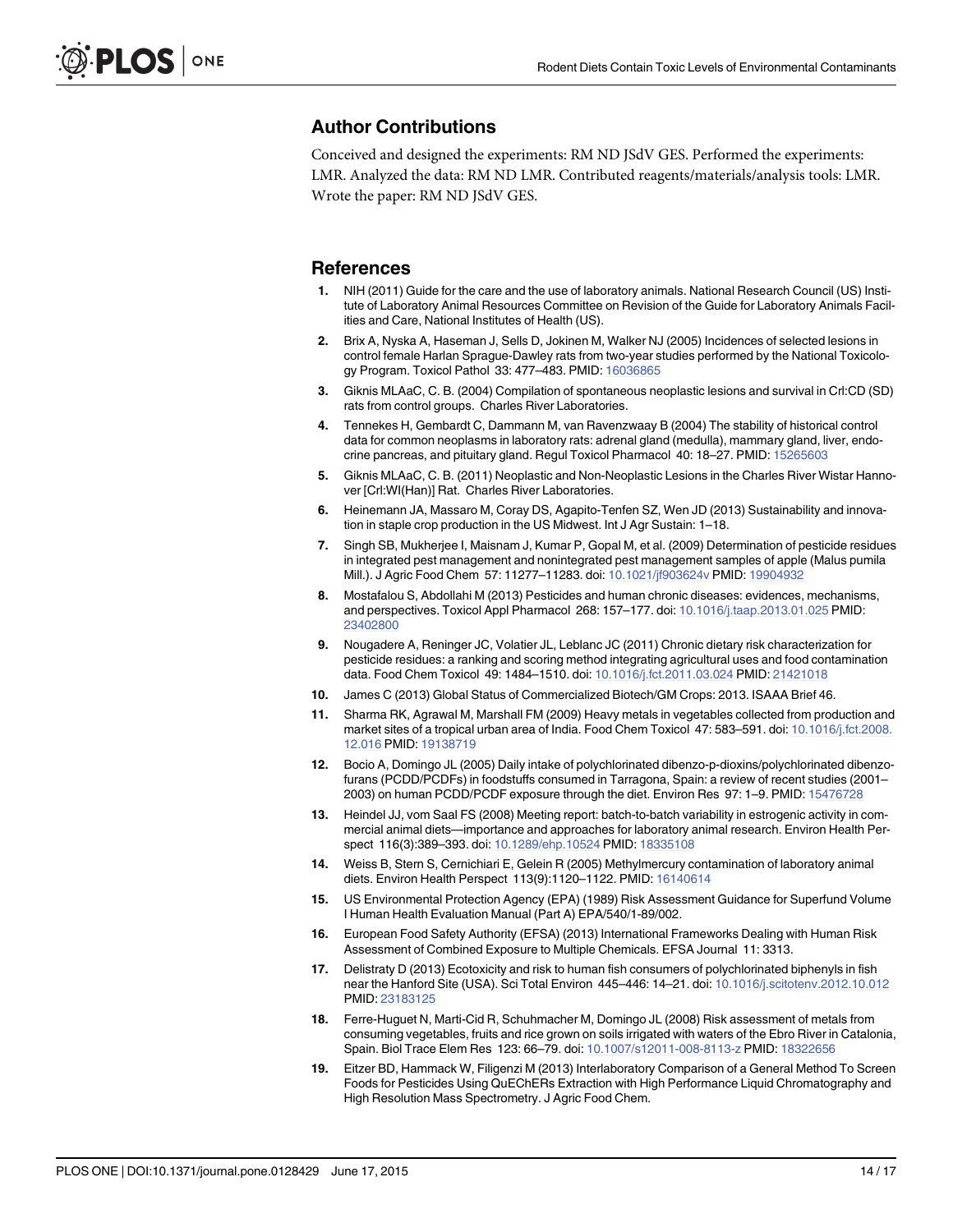## <span id="page-13-0"></span>Author Contributions

Conceived and designed the experiments: RM ND JSdV GES. Performed the experiments: LMR. Analyzed the data: RM ND LMR. Contributed reagents/materials/analysis tools: LMR. Wrote the paper: RM ND JSdV GES.

### References

- [1.](#page-1-0) NIH (2011) Guide for the care and the use of laboratory animals. National Research Council (US) Institute of Laboratory Animal Resources Committee on Revision of the Guide for Laboratory Animals Facilities and Care, National Institutes of Health (US).
- [2.](#page-1-0) Brix A, Nyska A, Haseman J, Sells D, Jokinen M, Walker NJ (2005) Incidences of selected lesions in control female Harlan Sprague-Dawley rats from two-year studies performed by the National Toxicology Program. Toxicol Pathol 33: 477–483. PMID: [16036865](http://www.ncbi.nlm.nih.gov/pubmed/16036865)
- [3.](#page-1-0) Giknis MLAaC, C. B. (2004) Compilation of spontaneous neoplastic lesions and survival in Crl:CD (SD) rats from control groups. Charles River Laboratories.
- [4.](#page-1-0) Tennekes H, Gembardt C, Dammann M, van Ravenzwaay B (2004) The stability of historical control data for common neoplasms in laboratory rats: adrenal gland (medulla), mammary gland, liver, endo-crine pancreas, and pituitary gland. Regul Toxicol Pharmacol 40: 18-27. PMID: [15265603](http://www.ncbi.nlm.nih.gov/pubmed/15265603)
- [5.](#page-1-0) Giknis MLAaC, C. B. (2011) Neoplastic and Non-Neoplastic Lesions in the Charles River Wistar Hannover [Crl:WI(Han)] Rat. Charles River Laboratories.
- [6.](#page-1-0) Heinemann JA, Massaro M, Coray DS, Agapito-Tenfen SZ, Wen JD (2013) Sustainability and innovation in staple crop production in the US Midwest. Int J Agr Sustain: 1–18.
- [7.](#page-1-0) Singh SB, Mukherjee I, Maisnam J, Kumar P, Gopal M, et al. (2009) Determination of pesticide residues in integrated pest management and nonintegrated pest management samples of apple (Malus pumila Mill.). J Agric Food Chem 57: 11277–11283. doi: [10.1021/jf903624v](http://dx.doi.org/10.1021/jf903624v) PMID: [19904932](http://www.ncbi.nlm.nih.gov/pubmed/19904932)
- [8.](#page-1-0) Mostafalou S, Abdollahi M (2013) Pesticides and human chronic diseases: evidences, mechanisms, and perspectives. Toxicol Appl Pharmacol 268: 157–177. doi: [10.1016/j.taap.2013.01.025](http://dx.doi.org/10.1016/j.taap.2013.01.025) PMID: [23402800](http://www.ncbi.nlm.nih.gov/pubmed/23402800)
- [9.](#page-1-0) Nougadere A, Reninger JC, Volatier JL, Leblanc JC (2011) Chronic dietary risk characterization for pesticide residues: a ranking and scoring method integrating agricultural uses and food contamination data. Food Chem Toxicol 49: 1484–1510. doi: [10.1016/j.fct.2011.03.024](http://dx.doi.org/10.1016/j.fct.2011.03.024) PMID: [21421018](http://www.ncbi.nlm.nih.gov/pubmed/21421018)
- [10.](#page-1-0) James C (2013) Global Status of Commercialized Biotech/GM Crops: 2013. ISAAA Brief 46.
- [11.](#page-1-0) Sharma RK, Agrawal M, Marshall FM (2009) Heavy metals in vegetables collected from production and market sites of a tropical urban area of India. Food Chem Toxicol 47: 583–591. doi: [10.1016/j.fct.2008.](http://dx.doi.org/10.1016/j.fct.2008.12.016) [12.016](http://dx.doi.org/10.1016/j.fct.2008.12.016) PMID: [19138719](http://www.ncbi.nlm.nih.gov/pubmed/19138719)
- [12.](#page-1-0) Bocio A, Domingo JL (2005) Daily intake of polychlorinated dibenzo-p-dioxins/polychlorinated dibenzofurans (PCDD/PCDFs) in foodstuffs consumed in Tarragona, Spain: a review of recent studies (2001– 2003) on human PCDD/PCDF exposure through the diet. Environ Res 97: 1–9. PMID: [15476728](http://www.ncbi.nlm.nih.gov/pubmed/15476728)
- [13.](#page-1-0) Heindel JJ, vom Saal FS (2008) Meeting report: batch-to-batch variability in estrogenic activity in commercial animal diets—importance and approaches for laboratory animal research. Environ Health Perspect 116(3):389–393. doi: [10.1289/ehp.10524](http://dx.doi.org/10.1289/ehp.10524) PMID: [18335108](http://www.ncbi.nlm.nih.gov/pubmed/18335108)
- [14.](#page-1-0) Weiss B, Stern S, Cernichiari E, Gelein R (2005) Methylmercury contamination of laboratory animal diets. Environ Health Perspect 113(9):1120–1122. PMID: [16140614](http://www.ncbi.nlm.nih.gov/pubmed/16140614)
- [15.](#page-2-0) US Environmental Protection Agency (EPA) (1989) Risk Assessment Guidance for Superfund Volume I Human Health Evaluation Manual (Part A) EPA/540/1-89/002.
- [16.](#page-2-0) European Food Safety Authority (EFSA) (2013) International Frameworks Dealing with Human Risk Assessment of Combined Exposure to Multiple Chemicals. EFSA Journal 11: 3313.
- [17.](#page-2-0) Delistraty D (2013) Ecotoxicity and risk to human fish consumers of polychlorinated biphenyls in fish near the Hanford Site (USA). Sci Total Environ 445–446: 14–21. doi: [10.1016/j.scitotenv.2012.10.012](http://dx.doi.org/10.1016/j.scitotenv.2012.10.012) PMID: [23183125](http://www.ncbi.nlm.nih.gov/pubmed/23183125)
- [18.](#page-2-0) Ferre-Huguet N, Marti-Cid R, Schuhmacher M, Domingo JL (2008) Risk assessment of metals from consuming vegetables, fruits and rice grown on soils irrigated with waters of the Ebro River in Catalonia, Spain. Biol Trace Elem Res 123: 66–79. doi: [10.1007/s12011-008-8113-z](http://dx.doi.org/10.1007/s12011-008-8113-z) PMID: [18322656](http://www.ncbi.nlm.nih.gov/pubmed/18322656)
- [19.](#page-3-0) Eitzer BD, Hammack W, Filigenzi M (2013) Interlaboratory Comparison of a General Method To Screen Foods for Pesticides Using QuEChERs Extraction with High Performance Liquid Chromatography and High Resolution Mass Spectrometry. J Agric Food Chem.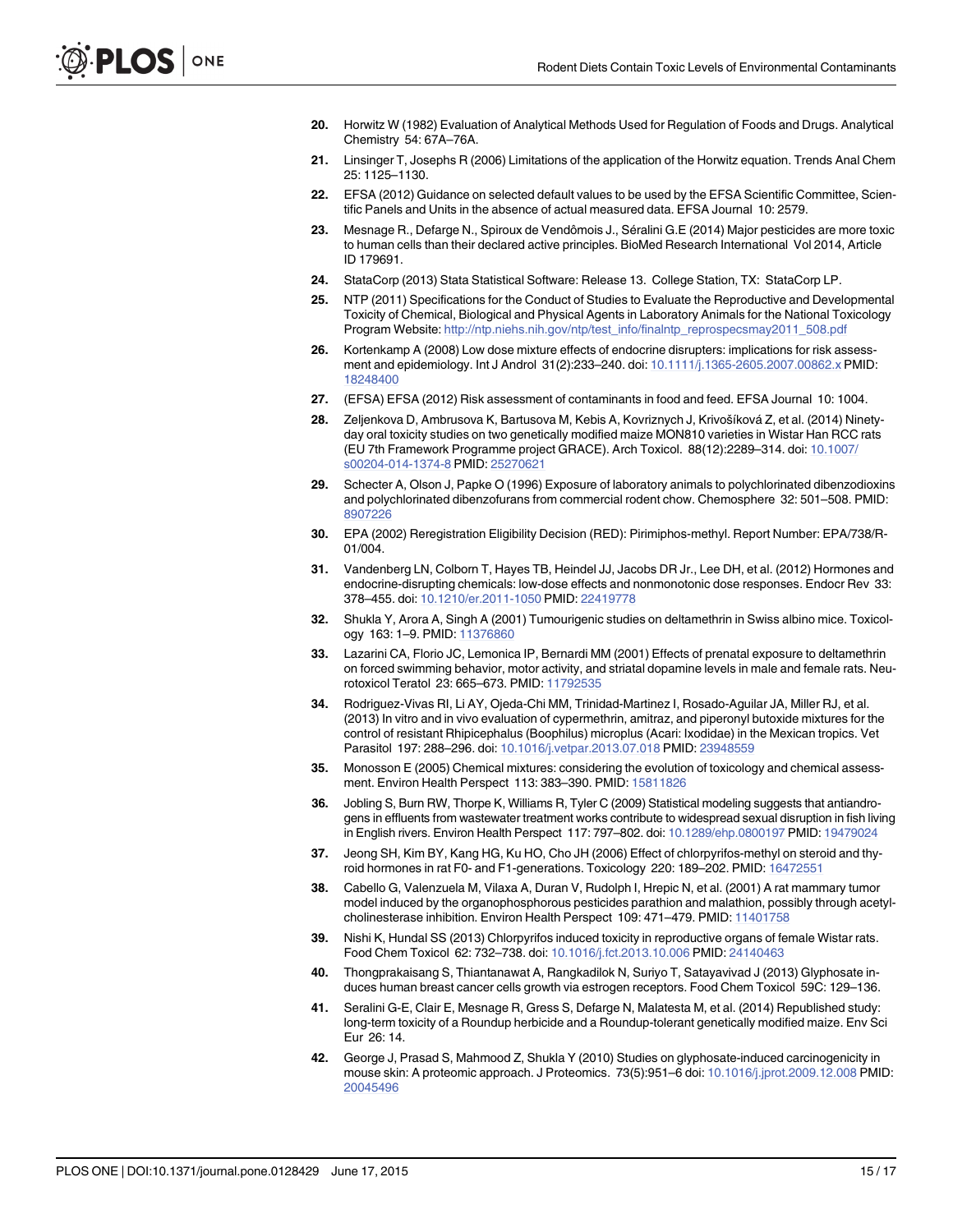- <span id="page-14-0"></span>[20.](#page-4-0) Horwitz W (1982) Evaluation of Analytical Methods Used for Regulation of Foods and Drugs. Analytical Chemistry 54: 67A–76A.
- [21.](#page-4-0) Linsinger T, Josephs R (2006) Limitations of the application of the Horwitz equation. Trends Anal Chem 25: 1125–1130.
- [22.](#page-5-0) EFSA (2012) Guidance on selected default values to be used by the EFSA Scientific Committee, Scientific Panels and Units in the absence of actual measured data. EFSA Journal 10: 2579.
- [23.](#page-5-0) Mesnage R., Defarge N., Spiroux de Vendômois J., Séralini G.E (2014) Major pesticides are more toxic to human cells than their declared active principles. BioMed Research International Vol 2014, Article ID 179691.
- [24.](#page-5-0) StataCorp (2013) Stata Statistical Software: Release 13. College Station, TX: StataCorp LP.
- [25.](#page-10-0) NTP (2011) Specifications for the Conduct of Studies to Evaluate the Reproductive and Developmental Toxicity of Chemical, Biological and Physical Agents in Laboratory Animals for the National Toxicology Program Website: [http://ntp.niehs.nih.gov/ntp/test\\_info/finalntp\\_reprospecsmay2011\\_508.pdf](http://ntp.niehs.nih.gov/ntp/test_info/finalntp_reprospecsmay2011_508.pdf)
- [26.](#page-10-0) Kortenkamp A (2008) Low dose mixture effects of endocrine disrupters: implications for risk assess-ment and epidemiology. Int J Androl 31(2):233-240. doi: [10.1111/j.1365-2605.2007.00862.x](http://dx.doi.org/10.1111/j.1365-2605.2007.00862.x) PMID: [18248400](http://www.ncbi.nlm.nih.gov/pubmed/18248400)
- [27.](#page-10-0) (EFSA) EFSA (2012) Risk assessment of contaminants in food and feed. EFSA Journal 10: 1004.
- [28.](#page-10-0) Zeljenkova D, Ambrusova K, Bartusova M, Kebis A, Kovriznych J, Krivošíková Z, et al. (2014) Ninetyday oral toxicity studies on two genetically modified maize MON810 varieties in Wistar Han RCC rats (EU 7th Framework Programme project GRACE). Arch Toxicol. 88(12):2289–314. doi: [10.1007/](http://dx.doi.org/10.1007/s00204-014-1374-8) [s00204-014-1374-8](http://dx.doi.org/10.1007/s00204-014-1374-8) PMID: [25270621](http://www.ncbi.nlm.nih.gov/pubmed/25270621)
- [29.](#page-10-0) Schecter A, Olson J, Papke O (1996) Exposure of laboratory animals to polychlorinated dibenzodioxins and polychlorinated dibenzofurans from commercial rodent chow. Chemosphere 32: 501–508. PMID: [8907226](http://www.ncbi.nlm.nih.gov/pubmed/8907226)
- [30.](#page-10-0) EPA (2002) Reregistration Eligibility Decision (RED): Pirimiphos-methyl. Report Number: EPA/738/R-01/004.
- [31.](#page-10-0) Vandenberg LN, Colborn T, Hayes TB, Heindel JJ, Jacobs DR Jr., Lee DH, et al. (2012) Hormones and endocrine-disrupting chemicals: low-dose effects and nonmonotonic dose responses. Endocr Rev 33: 378–455. doi: [10.1210/er.2011-1050](http://dx.doi.org/10.1210/er.2011-1050) PMID: [22419778](http://www.ncbi.nlm.nih.gov/pubmed/22419778)
- [32.](#page-10-0) Shukla Y, Arora A, Singh A (2001) Tumourigenic studies on deltamethrin in Swiss albino mice. Toxicol-ogy 163: 1-9. PMID: [11376860](http://www.ncbi.nlm.nih.gov/pubmed/11376860)
- [33.](#page-10-0) Lazarini CA, Florio JC, Lemonica IP, Bernardi MM (2001) Effects of prenatal exposure to deltamethrin on forced swimming behavior, motor activity, and striatal dopamine levels in male and female rats. Neu-rotoxicol Teratol 23: 665-673. PMID: [11792535](http://www.ncbi.nlm.nih.gov/pubmed/11792535)
- [34.](#page-10-0) Rodriguez-Vivas RI, Li AY, Ojeda-Chi MM, Trinidad-Martinez I, Rosado-Aguilar JA, Miller RJ, et al. (2013) In vitro and in vivo evaluation of cypermethrin, amitraz, and piperonyl butoxide mixtures for the control of resistant Rhipicephalus (Boophilus) microplus (Acari: Ixodidae) in the Mexican tropics. Vet Parasitol 197: 288–296. doi: [10.1016/j.vetpar.2013.07.018](http://dx.doi.org/10.1016/j.vetpar.2013.07.018) PMID: [23948559](http://www.ncbi.nlm.nih.gov/pubmed/23948559)
- [35.](#page-10-0) Monosson E (2005) Chemical mixtures: considering the evolution of toxicology and chemical assessment. Environ Health Perspect 113: 383–390. PMID: [15811826](http://www.ncbi.nlm.nih.gov/pubmed/15811826)
- [36.](#page-10-0) Jobling S, Burn RW, Thorpe K, Williams R, Tyler C (2009) Statistical modeling suggests that antiandrogens in effluents from wastewater treatment works contribute to widespread sexual disruption in fish living in English rivers. Environ Health Perspect 117: 797–802. doi: [10.1289/ehp.0800197](http://dx.doi.org/10.1289/ehp.0800197) PMID: [19479024](http://www.ncbi.nlm.nih.gov/pubmed/19479024)
- [37.](#page-10-0) Jeong SH, Kim BY, Kang HG, Ku HO, Cho JH (2006) Effect of chlorpyrifos-methyl on steroid and thyroid hormones in rat F0- and F1-generations. Toxicology 220: 189–202. PMID: [16472551](http://www.ncbi.nlm.nih.gov/pubmed/16472551)
- [38.](#page-10-0) Cabello G, Valenzuela M, Vilaxa A, Duran V, Rudolph I, Hrepic N, et al. (2001) A rat mammary tumor model induced by the organophosphorous pesticides parathion and malathion, possibly through acetyl-cholinesterase inhibition. Environ Health Perspect 109: 471-479. PMID: [11401758](http://www.ncbi.nlm.nih.gov/pubmed/11401758)
- [39.](#page-10-0) Nishi K, Hundal SS (2013) Chlorpyrifos induced toxicity in reproductive organs of female Wistar rats. Food Chem Toxicol 62: 732–738. doi: [10.1016/j.fct.2013.10.006](http://dx.doi.org/10.1016/j.fct.2013.10.006) PMID: [24140463](http://www.ncbi.nlm.nih.gov/pubmed/24140463)
- [40.](#page-10-0) Thongprakaisang S, Thiantanawat A, Rangkadilok N, Suriyo T, Satayavivad J (2013) Glyphosate induces human breast cancer cells growth via estrogen receptors. Food Chem Toxicol 59C: 129–136.
- [41.](#page-10-0) Seralini G-E, Clair E, Mesnage R, Gress S, Defarge N, Malatesta M, et al. (2014) Republished study: long-term toxicity of a Roundup herbicide and a Roundup-tolerant genetically modified maize. Env Sci Eur 26: 14.
- [42.](#page-10-0) George J, Prasad S, Mahmood Z, Shukla Y (2010) Studies on glyphosate-induced carcinogenicity in mouse skin: A proteomic approach. J Proteomics. 73(5):951–6 doi: [10.1016/j.jprot.2009.12.008](http://dx.doi.org/10.1016/j.jprot.2009.12.008) PMID: [20045496](http://www.ncbi.nlm.nih.gov/pubmed/20045496)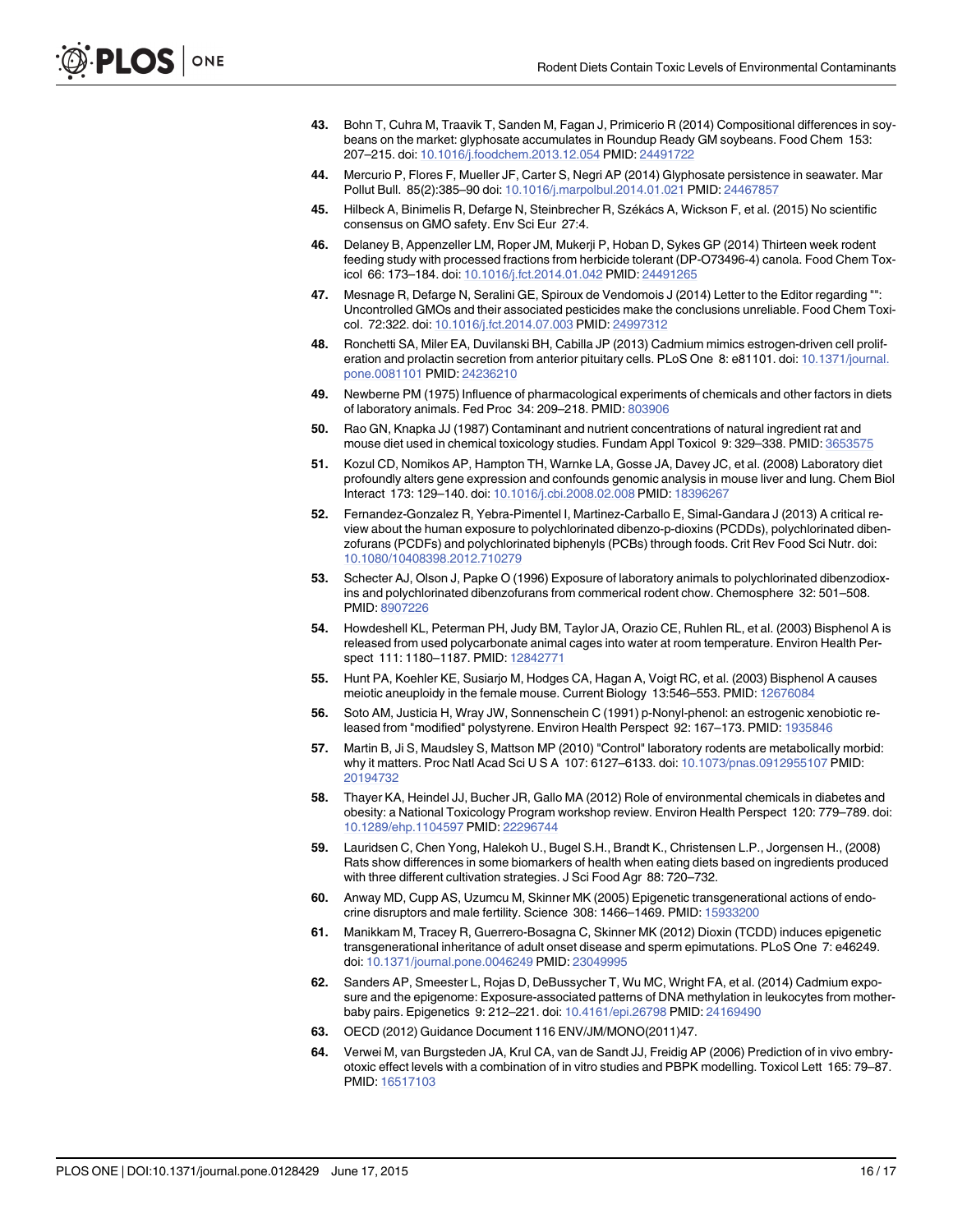- <span id="page-15-0"></span>[43.](#page-11-0) Bohn T, Cuhra M, Traavik T, Sanden M, Fagan J, Primicerio R (2014) Compositional differences in soybeans on the market: glyphosate accumulates in Roundup Ready GM soybeans. Food Chem 153: 207–215. doi: [10.1016/j.foodchem.2013.12.054](http://dx.doi.org/10.1016/j.foodchem.2013.12.054) PMID: [24491722](http://www.ncbi.nlm.nih.gov/pubmed/24491722)
- [44.](#page-11-0) Mercurio P, Flores F, Mueller JF, Carter S, Negri AP (2014) Glyphosate persistence in seawater. Mar Pollut Bull. 85(2):385–90 doi: [10.1016/j.marpolbul.2014.01.021](http://dx.doi.org/10.1016/j.marpolbul.2014.01.021) PMID: [24467857](http://www.ncbi.nlm.nih.gov/pubmed/24467857)
- [45.](#page-11-0) Hilbeck A, Binimelis R, Defarge N, Steinbrecher R, Székács A, Wickson F, et al. (2015) No scientific consensus on GMO safety. Env Sci Eur 27:4.
- [46.](#page-11-0) Delaney B, Appenzeller LM, Roper JM, Mukerji P, Hoban D, Sykes GP (2014) Thirteen week rodent feeding study with processed fractions from herbicide tolerant (DP-O73496-4) canola. Food Chem Toxicol 66: 173–184. doi: [10.1016/j.fct.2014.01.042](http://dx.doi.org/10.1016/j.fct.2014.01.042) PMID: [24491265](http://www.ncbi.nlm.nih.gov/pubmed/24491265)
- [47.](#page-11-0) Mesnage R, Defarge N, Seralini GE, Spiroux de Vendomois J (2014) Letter to the Editor regarding "": Uncontrolled GMOs and their associated pesticides make the conclusions unreliable. Food Chem Toxicol. 72:322. doi: [10.1016/j.fct.2014.07.003](http://dx.doi.org/10.1016/j.fct.2014.07.003) PMID: [24997312](http://www.ncbi.nlm.nih.gov/pubmed/24997312)
- [48.](#page-11-0) Ronchetti SA, Miler EA, Duvilanski BH, Cabilla JP (2013) Cadmium mimics estrogen-driven cell prolif-eration and prolactin secretion from anterior pituitary cells. PLoS One 8: e81101. doi: [10.1371/journal.](http://dx.doi.org/10.1371/journal.pone.0081101) [pone.0081101](http://dx.doi.org/10.1371/journal.pone.0081101) PMID: [24236210](http://www.ncbi.nlm.nih.gov/pubmed/24236210)
- [49.](#page-11-0) Newberne PM (1975) Influence of pharmacological experiments of chemicals and other factors in diets of laboratory animals. Fed Proc 34: 209–218. PMID: [803906](http://www.ncbi.nlm.nih.gov/pubmed/803906)
- [50.](#page-11-0) Rao GN, Knapka JJ (1987) Contaminant and nutrient concentrations of natural ingredient rat and mouse diet used in chemical toxicology studies. Fundam Appl Toxicol 9: 329–338. PMID: [3653575](http://www.ncbi.nlm.nih.gov/pubmed/3653575)
- [51.](#page-11-0) Kozul CD, Nomikos AP, Hampton TH, Warnke LA, Gosse JA, Davey JC, et al. (2008) Laboratory diet profoundly alters gene expression and confounds genomic analysis in mouse liver and lung. Chem Biol Interact 173: 129–140. doi: [10.1016/j.cbi.2008.02.008](http://dx.doi.org/10.1016/j.cbi.2008.02.008) PMID: [18396267](http://www.ncbi.nlm.nih.gov/pubmed/18396267)
- [52.](#page-11-0) Fernandez-Gonzalez R, Yebra-Pimentel I, Martinez-Carballo E, Simal-Gandara J (2013) A critical review about the human exposure to polychlorinated dibenzo-p-dioxins (PCDDs), polychlorinated dibenzofurans (PCDFs) and polychlorinated biphenyls (PCBs) through foods. Crit Rev Food Sci Nutr. doi: [10.1080/10408398.2012.710279](http://dx.doi.org/10.1080/10408398.2012.710279)
- [53.](#page-11-0) Schecter AJ, Olson J, Papke O (1996) Exposure of laboratory animals to polychlorinated dibenzodioxins and polychlorinated dibenzofurans from commerical rodent chow. Chemosphere 32: 501–508. PMID: [8907226](http://www.ncbi.nlm.nih.gov/pubmed/8907226)
- [54.](#page-11-0) Howdeshell KL, Peterman PH, Judy BM, Taylor JA, Orazio CE, Ruhlen RL, et al. (2003) Bisphenol A is released from used polycarbonate animal cages into water at room temperature. Environ Health Perspect 111: 1180–1187. PMID: [12842771](http://www.ncbi.nlm.nih.gov/pubmed/12842771)
- [55.](#page-11-0) Hunt PA, Koehler KE, Susiarjo M, Hodges CA, Hagan A, Voigt RC, et al. (2003) Bisphenol A causes meiotic aneuploidy in the female mouse. Current Biology 13:546-553. PMID: [12676084](http://www.ncbi.nlm.nih.gov/pubmed/12676084)
- [56.](#page-11-0) Soto AM, Justicia H, Wray JW, Sonnenschein C (1991) p-Nonyl-phenol: an estrogenic xenobiotic re-leased from "modified" polystyrene. Environ Health Perspect 92: 167-173. PMID: [1935846](http://www.ncbi.nlm.nih.gov/pubmed/1935846)
- [57.](#page-11-0) Martin B, Ji S, Maudsley S, Mattson MP (2010) "Control" laboratory rodents are metabolically morbid: why it matters. Proc Natl Acad Sci U S A 107: 6127–6133. doi: [10.1073/pnas.0912955107](http://dx.doi.org/10.1073/pnas.0912955107) PMID: [20194732](http://www.ncbi.nlm.nih.gov/pubmed/20194732)
- [58.](#page-11-0) Thayer KA, Heindel JJ, Bucher JR, Gallo MA (2012) Role of environmental chemicals in diabetes and obesity: a National Toxicology Program workshop review. Environ Health Perspect 120: 779–789. doi: [10.1289/ehp.1104597](http://dx.doi.org/10.1289/ehp.1104597) PMID: [22296744](http://www.ncbi.nlm.nih.gov/pubmed/22296744)
- [59.](#page-12-0) Lauridsen C, Chen Yong, Halekoh U., Bugel S.H., Brandt K., Christensen L.P., Jorgensen H., (2008) Rats show differences in some biomarkers of health when eating diets based on ingredients produced with three different cultivation strategies. J Sci Food Agr 88: 720–732.
- [60.](#page-12-0) Anway MD, Cupp AS, Uzumcu M, Skinner MK (2005) Epigenetic transgenerational actions of endocrine disruptors and male fertility. Science 308: 1466–1469. PMID: [15933200](http://www.ncbi.nlm.nih.gov/pubmed/15933200)
- 61. Manikkam M, Tracey R, Guerrero-Bosagna C, Skinner MK (2012) Dioxin (TCDD) induces epigenetic transgenerational inheritance of adult onset disease and sperm epimutations. PLoS One 7: e46249. doi: [10.1371/journal.pone.0046249](http://dx.doi.org/10.1371/journal.pone.0046249) PMID: [23049995](http://www.ncbi.nlm.nih.gov/pubmed/23049995)
- [62.](#page-12-0) Sanders AP, Smeester L, Rojas D, DeBussycher T, Wu MC, Wright FA, et al. (2014) Cadmium exposure and the epigenome: Exposure-associated patterns of DNA methylation in leukocytes from motherbaby pairs. Epigenetics 9: 212–221. doi: [10.4161/epi.26798](http://dx.doi.org/10.4161/epi.26798) PMID: [24169490](http://www.ncbi.nlm.nih.gov/pubmed/24169490)
- [63.](#page-12-0) OECD (2012) Guidance Document 116 ENV/JM/MONO(2011)47.
- [64.](#page-12-0) Verwei M, van Burgsteden JA, Krul CA, van de Sandt JJ, Freidig AP (2006) Prediction of in vivo embryotoxic effect levels with a combination of in vitro studies and PBPK modelling. Toxicol Lett 165: 79–87. PMID: [16517103](http://www.ncbi.nlm.nih.gov/pubmed/16517103)